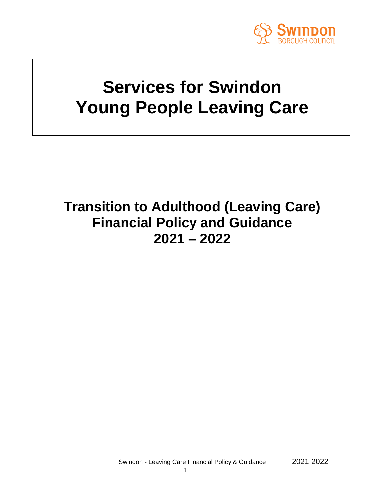

# **Services for Swindon Young People Leaving Care**

## **Transition to Adulthood (Leaving Care) Financial Policy and Guidance 2021 – 2022**

1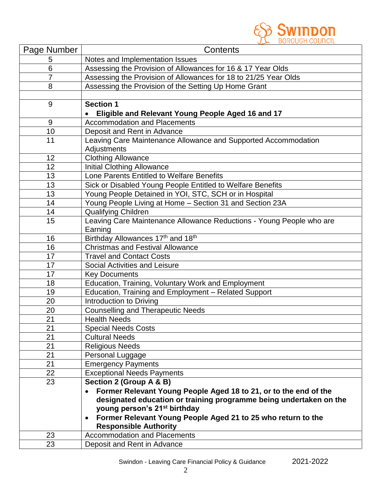

| Page Number                                                                                                                            | Contents                                                             |  |
|----------------------------------------------------------------------------------------------------------------------------------------|----------------------------------------------------------------------|--|
| 5                                                                                                                                      | Notes and Implementation Issues                                      |  |
| 6                                                                                                                                      | Assessing the Provision of Allowances for 16 & 17 Year Olds          |  |
| 7                                                                                                                                      | Assessing the Provision of Allowances for 18 to 21/25 Year Olds      |  |
| 8                                                                                                                                      | Assessing the Provision of the Setting Up Home Grant                 |  |
|                                                                                                                                        |                                                                      |  |
| 9                                                                                                                                      | <b>Section 1</b>                                                     |  |
|                                                                                                                                        | Eligible and Relevant Young People Aged 16 and 17                    |  |
| 9                                                                                                                                      | <b>Accommodation and Placements</b>                                  |  |
| 10                                                                                                                                     | Deposit and Rent in Advance                                          |  |
| 11                                                                                                                                     | Leaving Care Maintenance Allowance and Supported Accommodation       |  |
|                                                                                                                                        | Adjustments                                                          |  |
| 12                                                                                                                                     | <b>Clothing Allowance</b>                                            |  |
| 12                                                                                                                                     | <b>Initial Clothing Allowance</b>                                    |  |
| 13                                                                                                                                     | Lone Parents Entitled to Welfare Benefits                            |  |
| 13                                                                                                                                     | Sick or Disabled Young People Entitled to Welfare Benefits           |  |
| 13                                                                                                                                     | Young People Detained in YOI, STC, SCH or in Hospital                |  |
| 14                                                                                                                                     | Young People Living at Home - Section 31 and Section 23A             |  |
| 14                                                                                                                                     | <b>Qualifying Children</b>                                           |  |
| 15                                                                                                                                     | Leaving Care Maintenance Allowance Reductions - Young People who are |  |
|                                                                                                                                        | Earning                                                              |  |
| Birthday Allowances 17th and 18th<br>16                                                                                                |                                                                      |  |
| 16                                                                                                                                     | <b>Christmas and Festival Allowance</b>                              |  |
| 17                                                                                                                                     | <b>Travel and Contact Costs</b>                                      |  |
| 17                                                                                                                                     | Social Activities and Leisure                                        |  |
| 17                                                                                                                                     | <b>Key Documents</b>                                                 |  |
| 18                                                                                                                                     | Education, Training, Voluntary Work and Employment                   |  |
| 19                                                                                                                                     | Education, Training and Employment - Related Support                 |  |
| 20                                                                                                                                     | Introduction to Driving                                              |  |
| 20                                                                                                                                     | <b>Counselling and Therapeutic Needs</b>                             |  |
| 21                                                                                                                                     | <b>Health Needs</b>                                                  |  |
| 21                                                                                                                                     | <b>Special Needs Costs</b>                                           |  |
| 21                                                                                                                                     | <b>Cultural Needs</b>                                                |  |
| 21                                                                                                                                     | <b>Religious Needs</b>                                               |  |
| 21                                                                                                                                     | Personal Luggage                                                     |  |
| 21                                                                                                                                     | <b>Emergency Payments</b>                                            |  |
| 22                                                                                                                                     | <b>Exceptional Needs Payments</b>                                    |  |
| 23                                                                                                                                     | Section 2 (Group A & B)                                              |  |
| Former Relevant Young People Aged 18 to 21, or to the end of the<br>designated education or training programme being undertaken on the |                                                                      |  |
|                                                                                                                                        |                                                                      |  |
|                                                                                                                                        | Former Relevant Young People Aged 21 to 25 who return to the         |  |
|                                                                                                                                        | <b>Responsible Authority</b>                                         |  |
| 23                                                                                                                                     | <b>Accommodation and Placements</b>                                  |  |
| 23                                                                                                                                     | Deposit and Rent in Advance                                          |  |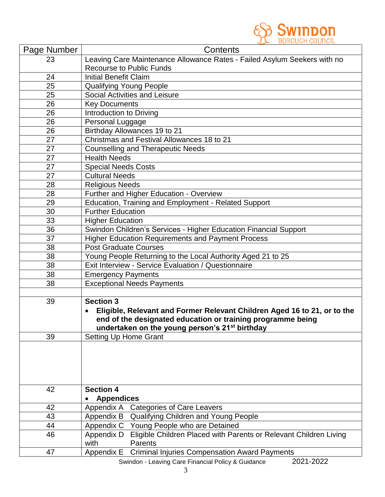

| Page Number | <b>Contents</b>                                                                 |  |
|-------------|---------------------------------------------------------------------------------|--|
| 23          | Leaving Care Maintenance Allowance Rates - Failed Asylum Seekers with no        |  |
|             | <b>Recourse to Public Funds</b>                                                 |  |
| 24          | <b>Initial Benefit Claim</b>                                                    |  |
| 25          | <b>Qualifying Young People</b>                                                  |  |
| 25          | Social Activities and Leisure                                                   |  |
| 26          | <b>Key Documents</b>                                                            |  |
| 26          | Introduction to Driving                                                         |  |
| 26          | Personal Luggage                                                                |  |
| 26          | Birthday Allowances 19 to 21                                                    |  |
| 27          | Christmas and Festival Allowances 18 to 21                                      |  |
| 27          | <b>Counselling and Therapeutic Needs</b>                                        |  |
| 27          | <b>Health Needs</b>                                                             |  |
| 27          | <b>Special Needs Costs</b>                                                      |  |
| 27          | <b>Cultural Needs</b>                                                           |  |
| 28          | <b>Religious Needs</b>                                                          |  |
| 28          | Further and Higher Education - Overview                                         |  |
| 29          | Education, Training and Employment - Related Support                            |  |
| 30          | <b>Further Education</b>                                                        |  |
| 33          | <b>Higher Education</b>                                                         |  |
| 36          | Swindon Children's Services - Higher Education Financial Support                |  |
| 37          | <b>Higher Education Requirements and Payment Process</b>                        |  |
| 38          | <b>Post Graduate Courses</b>                                                    |  |
| 38          | Young People Returning to the Local Authority Aged 21 to 25                     |  |
| 38          | Exit Interview - Service Evaluation / Questionnaire                             |  |
| 38          | <b>Emergency Payments</b>                                                       |  |
| 38          | <b>Exceptional Needs Payments</b>                                               |  |
|             |                                                                                 |  |
| 39          | <b>Section 3</b>                                                                |  |
|             | Eligible, Relevant and Former Relevant Children Aged 16 to 21, or to the        |  |
|             | end of the designated education or training programme being                     |  |
|             | undertaken on the young person's 21 <sup>st</sup> birthday                      |  |
| 39          | <b>Setting Up Home Grant</b>                                                    |  |
|             |                                                                                 |  |
|             |                                                                                 |  |
|             |                                                                                 |  |
|             |                                                                                 |  |
|             |                                                                                 |  |
| 42          | <b>Section 4</b>                                                                |  |
|             | <b>Appendices</b>                                                               |  |
| 42          | <b>Categories of Care Leavers</b><br>Appendix A                                 |  |
| 43          | Appendix B<br>Qualifying Children and Young People                              |  |
| 44          | Young People who are Detained<br>Appendix C                                     |  |
| 46          | Eligible Children Placed with Parents or Relevant Children Living<br>Appendix D |  |
|             | Parents<br>with                                                                 |  |
| 47          | Appendix E<br><b>Criminal Injuries Compensation Award Payments</b>              |  |
|             |                                                                                 |  |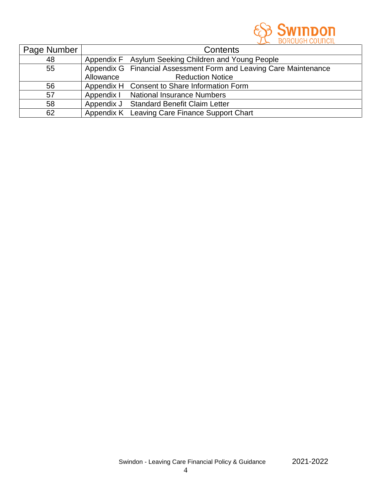

| Page Number | Contents  |                                                                   |
|-------------|-----------|-------------------------------------------------------------------|
| 48          |           | Appendix F Asylum Seeking Children and Young People               |
| 55          |           | Appendix G Financial Assessment Form and Leaving Care Maintenance |
|             | Allowance | <b>Reduction Notice</b>                                           |
| 56          |           | Appendix H Consent to Share Information Form                      |
| 57          |           | Appendix I National Insurance Numbers                             |
| 58          |           | Appendix J Standard Benefit Claim Letter                          |
| 62          |           | Appendix K Leaving Care Finance Support Chart                     |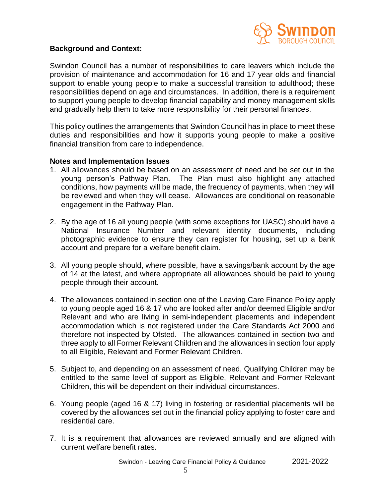

#### **Background and Context:**

Swindon Council has a number of responsibilities to care leavers which include the provision of maintenance and accommodation for 16 and 17 year olds and financial support to enable young people to make a successful transition to adulthood; these responsibilities depend on age and circumstances. In addition, there is a requirement to support young people to develop financial capability and money management skills and gradually help them to take more responsibility for their personal finances.

This policy outlines the arrangements that Swindon Council has in place to meet these duties and responsibilities and how it supports young people to make a positive financial transition from care to independence.

#### **Notes and Implementation Issues**

- 1. All allowances should be based on an assessment of need and be set out in the young person's Pathway Plan. The Plan must also highlight any attached conditions, how payments will be made, the frequency of payments, when they will be reviewed and when they will cease. Allowances are conditional on reasonable engagement in the Pathway Plan.
- 2. By the age of 16 all young people (with some exceptions for UASC) should have a National Insurance Number and relevant identity documents, including photographic evidence to ensure they can register for housing, set up a bank account and prepare for a welfare benefit claim.
- 3. All young people should, where possible, have a savings/bank account by the age of 14 at the latest, and where appropriate all allowances should be paid to young people through their account.
- 4. The allowances contained in section one of the Leaving Care Finance Policy apply to young people aged 16 & 17 who are looked after and/or deemed Eligible and/or Relevant and who are living in semi-independent placements and independent accommodation which is not registered under the Care Standards Act 2000 and therefore not inspected by Ofsted. The allowances contained in section two and three apply to all Former Relevant Children and the allowances in section four apply to all Eligible, Relevant and Former Relevant Children.
- 5. Subject to, and depending on an assessment of need, Qualifying Children may be entitled to the same level of support as Eligible, Relevant and Former Relevant Children, this will be dependent on their individual circumstances.
- 6. Young people (aged 16 & 17) living in fostering or residential placements will be covered by the allowances set out in the financial policy applying to foster care and residential care.
- 7. It is a requirement that allowances are reviewed annually and are aligned with current welfare benefit rates.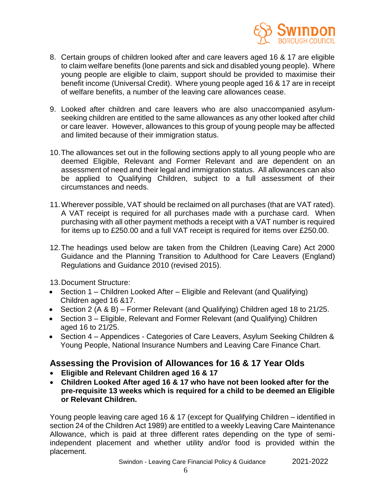

- 8. Certain groups of children looked after and care leavers aged 16 & 17 are eligible to claim welfare benefits (lone parents and sick and disabled young people). Where young people are eligible to claim, support should be provided to maximise their benefit income (Universal Credit). Where young people aged 16 & 17 are in receipt of welfare benefits, a number of the leaving care allowances cease.
- 9. Looked after children and care leavers who are also unaccompanied asylumseeking children are entitled to the same allowances as any other looked after child or care leaver. However, allowances to this group of young people may be affected and limited because of their immigration status.
- 10.The allowances set out in the following sections apply to all young people who are deemed Eligible, Relevant and Former Relevant and are dependent on an assessment of need and their legal and immigration status. All allowances can also be applied to Qualifying Children, subject to a full assessment of their circumstances and needs.
- 11.Wherever possible, VAT should be reclaimed on all purchases (that are VAT rated). A VAT receipt is required for all purchases made with a purchase card. When purchasing with all other payment methods a receipt with a VAT number is required for items up to £250.00 and a full VAT receipt is required for items over £250.00.
- 12.The headings used below are taken from the Children (Leaving Care) Act 2000 Guidance and the Planning Transition to Adulthood for Care Leavers (England) Regulations and Guidance 2010 (revised 2015).
- 13.Document Structure:
- Section 1 Children Looked After Eligible and Relevant (and Qualifying) Children aged 16 &17.
- Section 2 (A & B) Former Relevant (and Qualifying) Children aged 18 to 21/25.
- Section 3 Eligible, Relevant and Former Relevant (and Qualifying) Children aged 16 to 21/25.
- Section 4 Appendices Categories of Care Leavers, Asylum Seeking Children & Young People, National Insurance Numbers and Leaving Care Finance Chart.

### **Assessing the Provision of Allowances for 16 & 17 Year Olds**

- **Eligible and Relevant Children aged 16 & 17**
- **Children Looked After aged 16 & 17 who have not been looked after for the pre-requisite 13 weeks which is required for a child to be deemed an Eligible or Relevant Children.**

Young people leaving care aged 16 & 17 (except for Qualifying Children – identified in section 24 of the Children Act 1989) are entitled to a weekly Leaving Care Maintenance Allowance, which is paid at three different rates depending on the type of semiindependent placement and whether utility and/or food is provided within the placement.

Swindon - Leaving Care Financial Policy & Guidance 2021-2022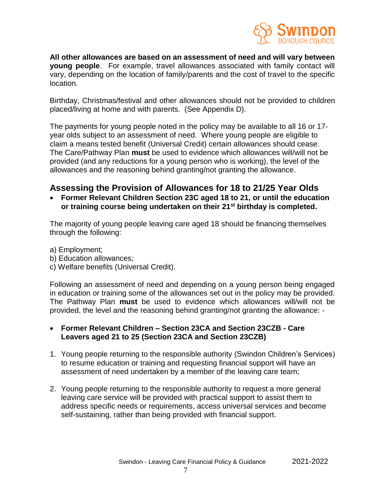

**All other allowances are based on an assessment of need and will vary between young people**. For example, travel allowances associated with family contact will vary, depending on the location of family/parents and the cost of travel to the specific location.

Birthday, Christmas/festival and other allowances should not be provided to children placed/living at home and with parents. (See Appendix D).

The payments for young people noted in the policy may be available to all 16 or 17 year olds subject to an assessment of need. Where young people are eligible to claim a means tested benefit (Universal Credit) certain allowances should cease. The Care/Pathway Plan **must** be used to evidence which allowances will/will not be provided (and any reductions for a young person who is working), the level of the allowances and the reasoning behind granting/not granting the allowance.

### **Assessing the Provision of Allowances for 18 to 21/25 Year Olds**

 **Former Relevant Children Section 23C aged 18 to 21, or until the education or training course being undertaken on their 21st birthday is completed.**

The majority of young people leaving care aged 18 should be financing themselves through the following:

- a) Employment;
- b) Education allowances;
- c) Welfare benefits (Universal Credit).

Following an assessment of need and depending on a young person being engaged in education or training some of the allowances set out in the policy may be provided. The Pathway Plan **must** be used to evidence which allowances will/will not be provided, the level and the reasoning behind granting/not granting the allowance: -

#### **Former Relevant Children – Section 23CA and Section 23CZB - Care Leavers aged 21 to 25 (Section 23CA and Section 23CZB)**

- 1. Young people returning to the responsible authority (Swindon Children's Services) to resume education or training and requesting financial support will have an assessment of need undertaken by a member of the leaving care team;
- 2. Young people returning to the responsible authority to request a more general leaving care service will be provided with practical support to assist them to address specific needs or requirements, access universal services and become self-sustaining, rather than being provided with financial support.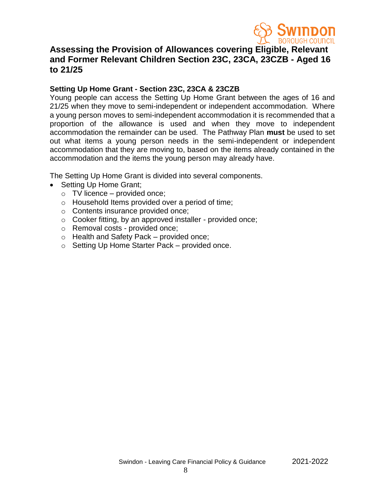

### **Assessing the Provision of Allowances covering Eligible, Relevant and Former Relevant Children Section 23C, 23CA, 23CZB - Aged 16 to 21/25**

#### **Setting Up Home Grant - Section 23C, 23CA & 23CZB**

Young people can access the Setting Up Home Grant between the ages of 16 and 21/25 when they move to semi-independent or independent accommodation. Where a young person moves to semi-independent accommodation it is recommended that a proportion of the allowance is used and when they move to independent accommodation the remainder can be used. The Pathway Plan **must** be used to set out what items a young person needs in the semi-independent or independent accommodation that they are moving to, based on the items already contained in the accommodation and the items the young person may already have.

The Setting Up Home Grant is divided into several components.

- Setting Up Home Grant;
	- $\circ$  TV licence provided once;
	- o Household Items provided over a period of time;
	- o Contents insurance provided once;
	- o Cooker fitting, by an approved installer provided once;
	- o Removal costs provided once;
	- o Health and Safety Pack provided once;
	- o Setting Up Home Starter Pack provided once.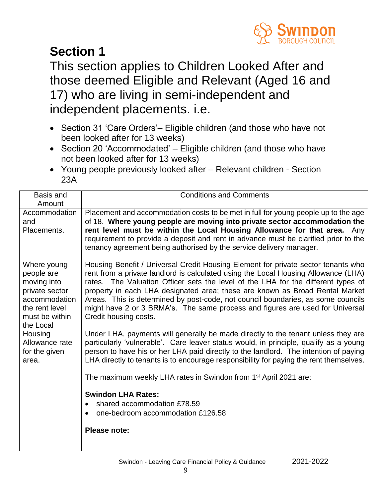

## **Section 1**

This section applies to Children Looked After and those deemed Eligible and Relevant (Aged 16 and 17) who are living in semi-independent and independent placements. i.e.

- Section 31 'Care Orders'– Eligible children (and those who have not been looked after for 13 weeks)
- Section 20 'Accommodated' Eligible children (and those who have not been looked after for 13 weeks)
- Young people previously looked after Relevant children Section 23A

| <b>Conditions and Comments</b>                                                                                                                                                                                                                                                                                                                                                                                                                                                                                                             |  |
|--------------------------------------------------------------------------------------------------------------------------------------------------------------------------------------------------------------------------------------------------------------------------------------------------------------------------------------------------------------------------------------------------------------------------------------------------------------------------------------------------------------------------------------------|--|
|                                                                                                                                                                                                                                                                                                                                                                                                                                                                                                                                            |  |
| Placement and accommodation costs to be met in full for young people up to the age<br>of 18. Where young people are moving into private sector accommodation the<br>rent level must be within the Local Housing Allowance for that area. Any<br>requirement to provide a deposit and rent in advance must be clarified prior to the<br>tenancy agreement being authorised by the service delivery manager.                                                                                                                                 |  |
| Housing Benefit / Universal Credit Housing Element for private sector tenants who<br>rent from a private landlord is calculated using the Local Housing Allowance (LHA)<br>rates. The Valuation Officer sets the level of the LHA for the different types of<br>property in each LHA designated area; these are known as Broad Rental Market<br>Areas. This is determined by post-code, not council boundaries, as some councils<br>might have 2 or 3 BRMA's. The same process and figures are used for Universal<br>Credit housing costs. |  |
| Under LHA, payments will generally be made directly to the tenant unless they are<br>particularly 'vulnerable'. Care leaver status would, in principle, qualify as a young<br>person to have his or her LHA paid directly to the landlord. The intention of paying<br>LHA directly to tenants is to encourage responsibility for paying the rent themselves.                                                                                                                                                                               |  |
| The maximum weekly LHA rates in Swindon from 1 <sup>st</sup> April 2021 are:                                                                                                                                                                                                                                                                                                                                                                                                                                                               |  |
| <b>Swindon LHA Rates:</b><br>shared accommodation £78.59<br>$\bullet$<br>one-bedroom accommodation £126.58<br>Please note:                                                                                                                                                                                                                                                                                                                                                                                                                 |  |
|                                                                                                                                                                                                                                                                                                                                                                                                                                                                                                                                            |  |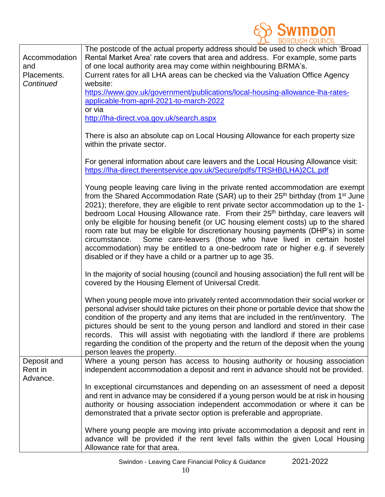

| Accommodation<br>and<br>Placements. | The postcode of the actual property address should be used to check which 'Broad<br>Rental Market Area' rate covers that area and address. For example, some parts<br>of one local authority area may come within neighbouring BRMA's.<br>Current rates for all LHA areas can be checked via the Valuation Office Agency                                                                                                                                                                                                                                                                                                                                                                                                                                                                          |
|-------------------------------------|---------------------------------------------------------------------------------------------------------------------------------------------------------------------------------------------------------------------------------------------------------------------------------------------------------------------------------------------------------------------------------------------------------------------------------------------------------------------------------------------------------------------------------------------------------------------------------------------------------------------------------------------------------------------------------------------------------------------------------------------------------------------------------------------------|
| Continued                           | website:<br>https://www.gov.uk/government/publications/local-housing-allowance-lha-rates-                                                                                                                                                                                                                                                                                                                                                                                                                                                                                                                                                                                                                                                                                                         |
|                                     | applicable-from-april-2021-to-march-2022<br>or via                                                                                                                                                                                                                                                                                                                                                                                                                                                                                                                                                                                                                                                                                                                                                |
|                                     | http://lha-direct.voa.gov.uk/search.aspx                                                                                                                                                                                                                                                                                                                                                                                                                                                                                                                                                                                                                                                                                                                                                          |
|                                     | There is also an absolute cap on Local Housing Allowance for each property size<br>within the private sector.                                                                                                                                                                                                                                                                                                                                                                                                                                                                                                                                                                                                                                                                                     |
|                                     | For general information about care leavers and the Local Housing Allowance visit:<br>https://lha-direct.therentservice.gov.uk/Secure/pdfs/TRSHB(LHA)2CL.pdf                                                                                                                                                                                                                                                                                                                                                                                                                                                                                                                                                                                                                                       |
|                                     | Young people leaving care living in the private rented accommodation are exempt<br>from the Shared Accommodation Rate (SAR) up to their 25 <sup>th</sup> birthday (from 1 <sup>st</sup> June<br>2021); therefore, they are eligible to rent private sector accommodation up to the 1-<br>bedroom Local Housing Allowance rate. From their 25 <sup>th</sup> birthday, care leavers will<br>only be eligible for housing benefit (or UC housing element costs) up to the shared<br>room rate but may be eligible for discretionary housing payments (DHP's) in some<br>Some care-leavers (those who have lived in certain hostel<br>circumstance.<br>accommodation) may be entitled to a one-bedroom rate or higher e.g. if severely<br>disabled or if they have a child or a partner up to age 35. |
|                                     | In the majority of social housing (council and housing association) the full rent will be<br>covered by the Housing Element of Universal Credit.                                                                                                                                                                                                                                                                                                                                                                                                                                                                                                                                                                                                                                                  |
|                                     | When young people move into privately rented accommodation their social worker or<br>personal adviser should take pictures on their phone or portable device that show the<br>condition of the property and any items that are included in the rent/inventory. The<br>pictures should be sent to the young person and landlord and stored in their case<br>records. This will assist with negotiating with the landlord if there are problems<br>regarding the condition of the property and the return of the deposit when the young<br>person leaves the property.                                                                                                                                                                                                                              |
| Deposit and<br>Rent in<br>Advance.  | Where a young person has access to housing authority or housing association<br>independent accommodation a deposit and rent in advance should not be provided.                                                                                                                                                                                                                                                                                                                                                                                                                                                                                                                                                                                                                                    |
|                                     | In exceptional circumstances and depending on an assessment of need a deposit<br>and rent in advance may be considered if a young person would be at risk in housing<br>authority or housing association independent accommodation or where it can be<br>demonstrated that a private sector option is preferable and appropriate.                                                                                                                                                                                                                                                                                                                                                                                                                                                                 |
|                                     | Where young people are moving into private accommodation a deposit and rent in<br>advance will be provided if the rent level falls within the given Local Housing<br>Allowance rate for that area.                                                                                                                                                                                                                                                                                                                                                                                                                                                                                                                                                                                                |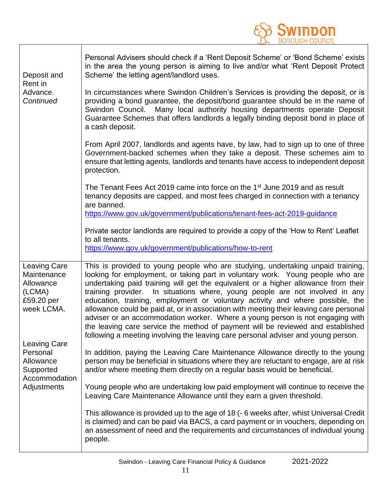|                                                                                       | Swindon                                                                                                                                                                                                                                                                                                                                                                                                                                                                                                                                                                                                                                                                                                                                                                        |
|---------------------------------------------------------------------------------------|--------------------------------------------------------------------------------------------------------------------------------------------------------------------------------------------------------------------------------------------------------------------------------------------------------------------------------------------------------------------------------------------------------------------------------------------------------------------------------------------------------------------------------------------------------------------------------------------------------------------------------------------------------------------------------------------------------------------------------------------------------------------------------|
| Deposit and                                                                           | Personal Advisers should check if a 'Rent Deposit Scheme' or 'Bond Scheme' exists<br>in the area the young person is aiming to live and/or what 'Rent Deposit Protect<br>Scheme' the letting agent/landlord uses.                                                                                                                                                                                                                                                                                                                                                                                                                                                                                                                                                              |
| Rent in<br>Advance.<br>Continued                                                      | In circumstances where Swindon Children's Services is providing the deposit, or is<br>providing a bond guarantee, the deposit/bond guarantee should be in the name of<br>Many local authority housing departments operate Deposit<br>Swindon Council.<br>Guarantee Schemes that offers landlords a legally binding deposit bond in place of<br>a cash deposit.                                                                                                                                                                                                                                                                                                                                                                                                                 |
|                                                                                       | From April 2007, landlords and agents have, by law, had to sign up to one of three<br>Government-backed schemes when they take a deposit. These schemes aim to<br>ensure that letting agents, landlords and tenants have access to independent deposit<br>protection.                                                                                                                                                                                                                                                                                                                                                                                                                                                                                                          |
|                                                                                       | The Tenant Fees Act 2019 came into force on the 1st June 2019 and as result<br>tenancy deposits are capped, and most fees charged in connection with a tenancy<br>are banned.<br>https://www.gov.uk/government/publications/tenant-fees-act-2019-guidance                                                                                                                                                                                                                                                                                                                                                                                                                                                                                                                      |
|                                                                                       | Private sector landlords are required to provide a copy of the 'How to Rent' Leaflet<br>to all tenants.<br>https://www.gov.uk/government/publications/how-to-rent                                                                                                                                                                                                                                                                                                                                                                                                                                                                                                                                                                                                              |
| <b>Leaving Care</b><br>Maintenance<br>Allowance<br>(LCMA)<br>£59.20 per<br>week LCMA. | This is provided to young people who are studying, undertaking unpaid training,<br>looking for employment, or taking part in voluntary work. Young people who are<br>undertaking paid training will get the equivalent or a higher allowance from their<br>In situations where, young people are not involved in any<br>training provider.<br>education, training, employment or voluntary activity and where possible, the<br>allowance could be paid at, or in association with meeting their leaving care personal<br>adviser or an accommodation worker. Where a young person is not engaging with<br>the leaving care service the method of payment will be reviewed and established<br>following a meeting involving the leaving care personal adviser and young person. |
| <b>Leaving Care</b><br>Personal<br>Allowance<br>Supported<br>Accommodation            | In addition, paying the Leaving Care Maintenance Allowance directly to the young<br>person may be beneficial in situations where they are reluctant to engage, are at risk<br>and/or where meeting them directly on a regular basis would be beneficial.                                                                                                                                                                                                                                                                                                                                                                                                                                                                                                                       |
| Adjustments                                                                           | Young people who are undertaking low paid employment will continue to receive the<br>Leaving Care Maintenance Allowance until they earn a given threshold.                                                                                                                                                                                                                                                                                                                                                                                                                                                                                                                                                                                                                     |
|                                                                                       | This allowance is provided up to the age of 18 (- 6 weeks after, whist Universal Credit<br>is claimed) and can be paid via BACS, a card payment or in vouchers, depending on<br>an assessment of need and the requirements and circumstances of individual young<br>people.                                                                                                                                                                                                                                                                                                                                                                                                                                                                                                    |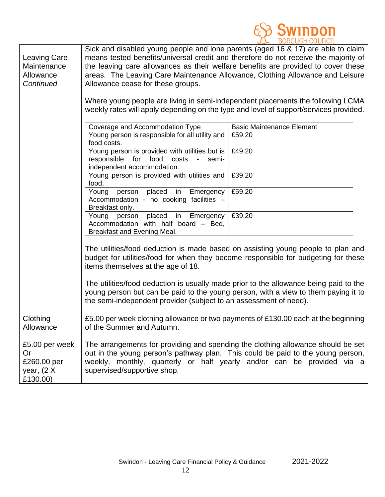|                                                                                                                                                                                                                                                                                                                                                                                                                                                                                                                                                                                                                                |                                                                                                                                                                                                                                                                                                                                                                                                                                                                  | BOROUGH COUNCIL                  |
|--------------------------------------------------------------------------------------------------------------------------------------------------------------------------------------------------------------------------------------------------------------------------------------------------------------------------------------------------------------------------------------------------------------------------------------------------------------------------------------------------------------------------------------------------------------------------------------------------------------------------------|------------------------------------------------------------------------------------------------------------------------------------------------------------------------------------------------------------------------------------------------------------------------------------------------------------------------------------------------------------------------------------------------------------------------------------------------------------------|----------------------------------|
| Sick and disabled young people and lone parents (aged 16 & 17) are able to claim<br>means tested benefits/universal credit and therefore do not receive the majority of<br><b>Leaving Care</b><br>the leaving care allowances as their welfare benefits are provided to cover these<br>Maintenance<br>areas. The Leaving Care Maintenance Allowance, Clothing Allowance and Leisure<br>Allowance<br>Continued<br>Allowance cease for these groups.<br>Where young people are living in semi-independent placements the following LCMA<br>weekly rates will apply depending on the type and level of support/services provided. |                                                                                                                                                                                                                                                                                                                                                                                                                                                                  |                                  |
|                                                                                                                                                                                                                                                                                                                                                                                                                                                                                                                                                                                                                                | Coverage and Accommodation Type                                                                                                                                                                                                                                                                                                                                                                                                                                  | <b>Basic Maintenance Element</b> |
|                                                                                                                                                                                                                                                                                                                                                                                                                                                                                                                                                                                                                                | Young person is responsible for all utility and                                                                                                                                                                                                                                                                                                                                                                                                                  | £59.20                           |
|                                                                                                                                                                                                                                                                                                                                                                                                                                                                                                                                                                                                                                | food costs.                                                                                                                                                                                                                                                                                                                                                                                                                                                      |                                  |
|                                                                                                                                                                                                                                                                                                                                                                                                                                                                                                                                                                                                                                | Young person is provided with utilities but is<br>responsible for food costs<br>$\sim$<br>semi-<br>independent accommodation.                                                                                                                                                                                                                                                                                                                                    | £49.20                           |
|                                                                                                                                                                                                                                                                                                                                                                                                                                                                                                                                                                                                                                | Young person is provided with utilities and<br>food.                                                                                                                                                                                                                                                                                                                                                                                                             | £39.20                           |
|                                                                                                                                                                                                                                                                                                                                                                                                                                                                                                                                                                                                                                | person placed<br>Emergency<br>Young<br>in<br>Accommodation - no cooking facilities -<br>Breakfast only.                                                                                                                                                                                                                                                                                                                                                          | £59.20                           |
|                                                                                                                                                                                                                                                                                                                                                                                                                                                                                                                                                                                                                                | placed<br>Young person<br>in Emergency<br>Accommodation with half board - Bed,<br>Breakfast and Evening Meal.                                                                                                                                                                                                                                                                                                                                                    | £39.20                           |
|                                                                                                                                                                                                                                                                                                                                                                                                                                                                                                                                                                                                                                | The utilities/food deduction is made based on assisting young people to plan and<br>budget for utilities/food for when they become responsible for budgeting for these<br>items themselves at the age of 18.<br>The utilities/food deduction is usually made prior to the allowance being paid to the<br>young person but can be paid to the young person, with a view to them paying it to<br>the semi-independent provider (subject to an assessment of need). |                                  |
| Clothing<br>Allowance                                                                                                                                                                                                                                                                                                                                                                                                                                                                                                                                                                                                          | £5.00 per week clothing allowance or two payments of £130.00 each at the beginning<br>of the Summer and Autumn.<br>The arrangements for providing and spending the clothing allowance should be set<br>out in the young person's pathway plan. This could be paid to the young person,<br>weekly, monthly, quarterly or half yearly and/or can be provided via a<br>supervised/supportive shop.                                                                  |                                  |
| £5.00 per week<br>Or<br>£260.00 per<br>year, $(2 X)$<br>£130.00)                                                                                                                                                                                                                                                                                                                                                                                                                                                                                                                                                               |                                                                                                                                                                                                                                                                                                                                                                                                                                                                  |                                  |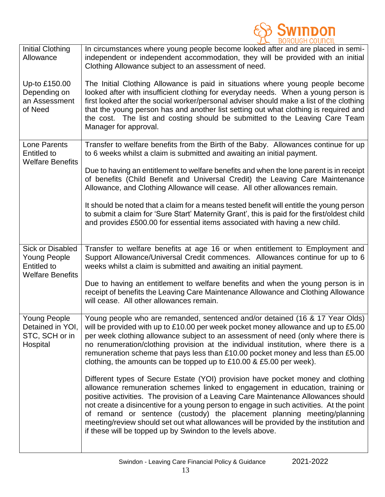|                                                                                                 | <b>BOROUGH COULICIL</b>                                                                                                                                                                                                                                                                                                                                                                                                                                                                                                                                                             |
|-------------------------------------------------------------------------------------------------|-------------------------------------------------------------------------------------------------------------------------------------------------------------------------------------------------------------------------------------------------------------------------------------------------------------------------------------------------------------------------------------------------------------------------------------------------------------------------------------------------------------------------------------------------------------------------------------|
| <b>Initial Clothing</b><br>Allowance                                                            | In circumstances where young people become looked after and are placed in semi-<br>independent or independent accommodation, they will be provided with an initial<br>Clothing Allowance subject to an assessment of need.                                                                                                                                                                                                                                                                                                                                                          |
| Up-to £150.00<br>Depending on<br>an Assessment<br>of Need                                       | The Initial Clothing Allowance is paid in situations where young people become<br>looked after with insufficient clothing for everyday needs. When a young person is<br>first looked after the social worker/personal adviser should make a list of the clothing<br>that the young person has and another list setting out what clothing is required and<br>the cost. The list and costing should be submitted to the Leaving Care Team<br>Manager for approval.                                                                                                                    |
| Lone Parents<br><b>Entitled to</b><br><b>Welfare Benefits</b>                                   | Transfer to welfare benefits from the Birth of the Baby. Allowances continue for up<br>to 6 weeks whilst a claim is submitted and awaiting an initial payment.                                                                                                                                                                                                                                                                                                                                                                                                                      |
|                                                                                                 | Due to having an entitlement to welfare benefits and when the lone parent is in receipt<br>of benefits (Child Benefit and Universal Credit) the Leaving Care Maintenance<br>Allowance, and Clothing Allowance will cease. All other allowances remain.                                                                                                                                                                                                                                                                                                                              |
|                                                                                                 | It should be noted that a claim for a means tested benefit will entitle the young person<br>to submit a claim for 'Sure Start' Maternity Grant', this is paid for the first/oldest child<br>and provides £500.00 for essential items associated with having a new child.                                                                                                                                                                                                                                                                                                            |
| <b>Sick or Disabled</b><br><b>Young People</b><br><b>Entitled to</b><br><b>Welfare Benefits</b> | Transfer to welfare benefits at age 16 or when entitlement to Employment and<br>Support Allowance/Universal Credit commences. Allowances continue for up to 6<br>weeks whilst a claim is submitted and awaiting an initial payment.                                                                                                                                                                                                                                                                                                                                                 |
|                                                                                                 | Due to having an entitlement to welfare benefits and when the young person is in<br>receipt of benefits the Leaving Care Maintenance Allowance and Clothing Allowance<br>will cease. All other allowances remain.                                                                                                                                                                                                                                                                                                                                                                   |
| <b>Young People</b><br>Detained in YOI,<br>STC, SCH or in<br>Hospital                           | Young people who are remanded, sentenced and/or detained (16 & 17 Year Olds)<br>will be provided with up to £10.00 per week pocket money allowance and up to £5.00<br>per week clothing allowance subject to an assessment of need (only where there is<br>no renumeration/clothing provision at the individual institution, where there is a<br>remuneration scheme that pays less than £10.00 pocket money and less than £5.00<br>clothing, the amounts can be topped up to £10.00 & £5.00 per week).                                                                             |
|                                                                                                 | Different types of Secure Estate (YOI) provision have pocket money and clothing<br>allowance remuneration schemes linked to engagement in education, training or<br>positive activities. The provision of a Leaving Care Maintenance Allowances should<br>not create a disincentive for a young person to engage in such activities. At the point<br>of remand or sentence (custody) the placement planning meeting/planning<br>meeting/review should set out what allowances will be provided by the institution and<br>if these will be topped up by Swindon to the levels above. |

**Swindon**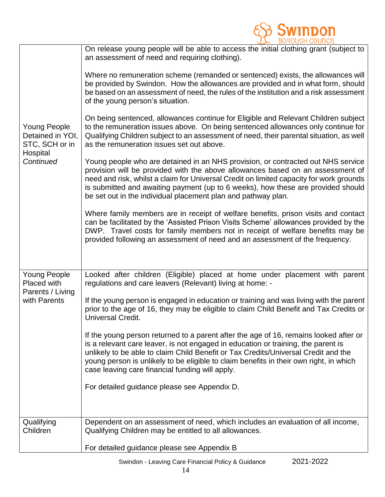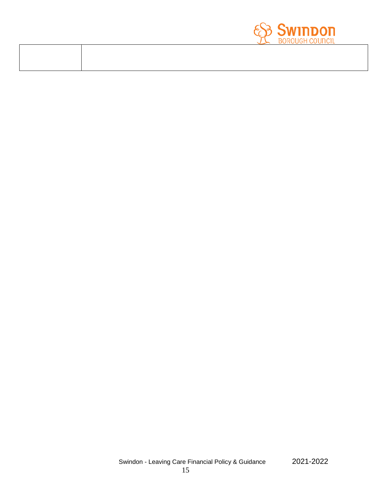

|  | _ _ _ _ _ _ |
|--|-------------|
|  |             |
|  |             |
|  |             |
|  |             |
|  |             |
|  |             |
|  |             |
|  |             |
|  |             |
|  |             |
|  |             |
|  |             |
|  |             |
|  |             |
|  |             |
|  |             |
|  |             |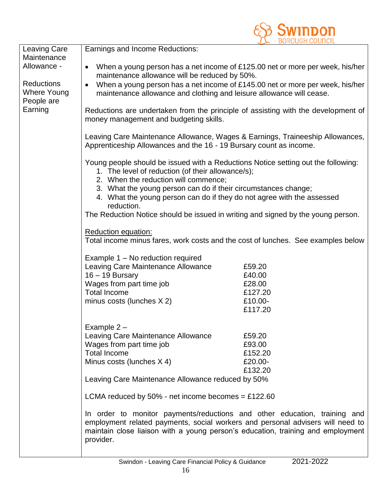| Leaving Care                                          | Earnings and Income Reductions:                                                                                                                                                                                                                             |                    |
|-------------------------------------------------------|-------------------------------------------------------------------------------------------------------------------------------------------------------------------------------------------------------------------------------------------------------------|--------------------|
| Maintenance<br>Allowance -                            | When a young person has a net income of £125.00 net or more per week, his/her<br>$\bullet$                                                                                                                                                                  |                    |
|                                                       | maintenance allowance will be reduced by 50%.                                                                                                                                                                                                               |                    |
| <b>Reductions</b><br><b>Where Young</b><br>People are | When a young person has a net income of £145.00 net or more per week, his/her<br>$\bullet$<br>maintenance allowance and clothing and leisure allowance will cease.                                                                                          |                    |
| Earning                                               | Reductions are undertaken from the principle of assisting with the development of<br>money management and budgeting skills.                                                                                                                                 |                    |
|                                                       |                                                                                                                                                                                                                                                             |                    |
|                                                       | Leaving Care Maintenance Allowance, Wages & Earnings, Traineeship Allowances,<br>Apprenticeship Allowances and the 16 - 19 Bursary count as income.                                                                                                         |                    |
|                                                       | Young people should be issued with a Reductions Notice setting out the following:<br>1. The level of reduction (of their allowance/s);                                                                                                                      |                    |
|                                                       | 2. When the reduction will commence;<br>3. What the young person can do if their circumstances change;<br>4. What the young person can do if they do not agree with the assessed                                                                            |                    |
|                                                       | reduction.<br>The Reduction Notice should be issued in writing and signed by the young person.                                                                                                                                                              |                    |
|                                                       | Reduction equation:<br>Total income minus fares, work costs and the cost of lunches. See examples below                                                                                                                                                     |                    |
|                                                       | Example 1 - No reduction required                                                                                                                                                                                                                           |                    |
|                                                       | Leaving Care Maintenance Allowance                                                                                                                                                                                                                          | £59.20             |
|                                                       | $16 - 19$ Bursary                                                                                                                                                                                                                                           | £40.00             |
|                                                       | Wages from part time job                                                                                                                                                                                                                                    | £28.00             |
|                                                       | <b>Total Income</b>                                                                                                                                                                                                                                         | £127.20            |
|                                                       | minus costs (lunches $X$ 2)                                                                                                                                                                                                                                 | £10.00-<br>£117.20 |
|                                                       |                                                                                                                                                                                                                                                             |                    |
|                                                       | Example 2 -                                                                                                                                                                                                                                                 |                    |
|                                                       | Leaving Care Maintenance Allowance                                                                                                                                                                                                                          | £59.20             |
|                                                       | Wages from part time job                                                                                                                                                                                                                                    | £93.00             |
|                                                       | <b>Total Income</b>                                                                                                                                                                                                                                         | £152.20            |
|                                                       | Minus costs (lunches X 4)                                                                                                                                                                                                                                   | £20.00-            |
|                                                       | Leaving Care Maintenance Allowance reduced by 50%                                                                                                                                                                                                           | £132.20            |
|                                                       |                                                                                                                                                                                                                                                             |                    |
|                                                       | LCMA reduced by 50% - net income becomes = £122.60                                                                                                                                                                                                          |                    |
|                                                       | In order to monitor payments/reductions and other education, training and<br>employment related payments, social workers and personal advisers will need to<br>maintain close liaison with a young person's education, training and employment<br>provider. |                    |
|                                                       |                                                                                                                                                                                                                                                             |                    |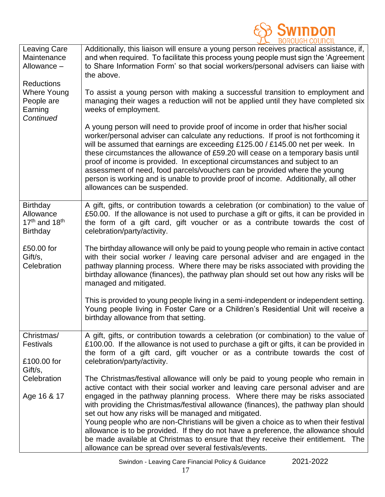

| Leaving Care<br>Maintenance<br>Allowance -                                               | Additionally, this liaison will ensure a young person receives practical assistance, if,<br>and when required. To facilitate this process young people must sign the 'Agreement<br>to Share Information Form' so that social workers/personal advisers can liaise with<br>the above.                                                                                                                                                                                                                                                                                                                                               |
|------------------------------------------------------------------------------------------|------------------------------------------------------------------------------------------------------------------------------------------------------------------------------------------------------------------------------------------------------------------------------------------------------------------------------------------------------------------------------------------------------------------------------------------------------------------------------------------------------------------------------------------------------------------------------------------------------------------------------------|
| <b>Reductions</b><br><b>Where Young</b><br>People are<br>Earning<br>Continued            | To assist a young person with making a successful transition to employment and<br>managing their wages a reduction will not be applied until they have completed six<br>weeks of employment.                                                                                                                                                                                                                                                                                                                                                                                                                                       |
|                                                                                          | A young person will need to provide proof of income in order that his/her social<br>worker/personal adviser can calculate any reductions. If proof is not forthcoming it<br>will be assumed that earnings are exceeding £125.00 / £145.00 net per week. In<br>these circumstances the allowance of £59.20 will cease on a temporary basis until<br>proof of income is provided. In exceptional circumstances and subject to an<br>assessment of need, food parcels/vouchers can be provided where the young<br>person is working and is unable to provide proof of income. Additionally, all other<br>allowances can be suspended. |
| <b>Birthday</b><br>Allowance<br>17 <sup>th</sup> and 18 <sup>th</sup><br><b>Birthday</b> | A gift, gifts, or contribution towards a celebration (or combination) to the value of<br>£50.00. If the allowance is not used to purchase a gift or gifts, it can be provided in<br>the form of a gift card, gift voucher or as a contribute towards the cost of<br>celebration/party/activity.                                                                                                                                                                                                                                                                                                                                    |
| £50.00 for<br>Gift/s,<br>Celebration                                                     | The birthday allowance will only be paid to young people who remain in active contact<br>with their social worker / leaving care personal adviser and are engaged in the<br>pathway planning process. Where there may be risks associated with providing the<br>birthday allowance (finances), the pathway plan should set out how any risks will be<br>managed and mitigated.                                                                                                                                                                                                                                                     |
|                                                                                          | This is provided to young people living in a semi-independent or independent setting.<br>Young people living in Foster Care or a Children's Residential Unit will receive a<br>birthday allowance from that setting.                                                                                                                                                                                                                                                                                                                                                                                                               |
| Christmas/<br><b>Festivals</b><br>£100.00 for                                            | A gift, gifts, or contribution towards a celebration (or combination) to the value of<br>£100.00. If the allowance is not used to purchase a gift or gifts, it can be provided in<br>the form of a gift card, gift voucher or as a contribute towards the cost of<br>celebration/party/activity.                                                                                                                                                                                                                                                                                                                                   |
| Gift/s,<br>Celebration                                                                   | The Christmas/festival allowance will only be paid to young people who remain in                                                                                                                                                                                                                                                                                                                                                                                                                                                                                                                                                   |
|                                                                                          | active contact with their social worker and leaving care personal adviser and are                                                                                                                                                                                                                                                                                                                                                                                                                                                                                                                                                  |
| Age 16 & 17                                                                              | engaged in the pathway planning process. Where there may be risks associated<br>with providing the Christmas/festival allowance (finances), the pathway plan should<br>set out how any risks will be managed and mitigated.                                                                                                                                                                                                                                                                                                                                                                                                        |
|                                                                                          | Young people who are non-Christians will be given a choice as to when their festival<br>allowance is to be provided. If they do not have a preference, the allowance should<br>be made available at Christmas to ensure that they receive their entitlement. The<br>allowance can be spread over several festivals/events.                                                                                                                                                                                                                                                                                                         |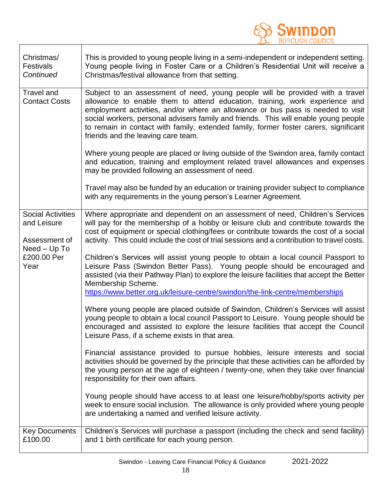| Christmas/<br><b>Festivals</b><br>Continued                                                       | This is provided to young people living in a semi-independent or independent setting.<br>Young people living in Foster Care or a Children's Residential Unit will receive a<br>Christmas/festival allowance from that setting.                                                                                                                                                                                                                                                                                                                                                                                                                                                                                                    |
|---------------------------------------------------------------------------------------------------|-----------------------------------------------------------------------------------------------------------------------------------------------------------------------------------------------------------------------------------------------------------------------------------------------------------------------------------------------------------------------------------------------------------------------------------------------------------------------------------------------------------------------------------------------------------------------------------------------------------------------------------------------------------------------------------------------------------------------------------|
| Travel and<br><b>Contact Costs</b>                                                                | Subject to an assessment of need, young people will be provided with a travel<br>allowance to enable them to attend education, training, work experience and<br>employment activities, and/or where an allowance or bus pass is needed to visit<br>social workers, personal advisers family and friends. This will enable young people<br>to remain in contact with family, extended family, former foster carers, significant<br>friends and the leaving care team.                                                                                                                                                                                                                                                              |
|                                                                                                   | Where young people are placed or living outside of the Swindon area, family contact<br>and education, training and employment related travel allowances and expenses<br>may be provided following an assessment of need.                                                                                                                                                                                                                                                                                                                                                                                                                                                                                                          |
|                                                                                                   | Travel may also be funded by an education or training provider subject to compliance<br>with any requirements in the young person's Learner Agreement.                                                                                                                                                                                                                                                                                                                                                                                                                                                                                                                                                                            |
| <b>Social Activities</b><br>and Leisure<br>Assessment of<br>$Need - Up To$<br>£200.00 Per<br>Year | Where appropriate and dependent on an assessment of need, Children's Services<br>will pay for the membership of a hobby or leisure club and contribute towards the<br>cost of equipment or special clothing/fees or contribute towards the cost of a social<br>activity. This could include the cost of trial sessions and a contribution to travel costs.<br>Children's Services will assist young people to obtain a local council Passport to<br>Leisure Pass (Swindon Better Pass). Young people should be encouraged and<br>assisted (via their Pathway Plan) to explore the leisure facilities that accept the Better<br>Membership Scheme.<br>https://www.better.org.uk/leisure-centre/swindon/the-link-centre/memberships |
|                                                                                                   | Where young people are placed outside of Swindon, Children's Services will assist<br>young people to obtain a local council Passport to Leisure. Young people should be<br>encouraged and assisted to explore the leisure facilities that accept the Council<br>Leisure Pass, if a scheme exists in that area.                                                                                                                                                                                                                                                                                                                                                                                                                    |
|                                                                                                   | Financial assistance provided to pursue hobbies, leisure interests and social<br>activities should be governed by the principle that these activities can be afforded by<br>the young person at the age of eighteen / twenty-one, when they take over financial<br>responsibility for their own affairs.                                                                                                                                                                                                                                                                                                                                                                                                                          |
|                                                                                                   | Young people should have access to at least one leisure/hobby/sports activity per<br>week to ensure social inclusion. The allowance is only provided where young people<br>are undertaking a named and verified leisure activity.                                                                                                                                                                                                                                                                                                                                                                                                                                                                                                 |
| <b>Key Documents</b><br>£100.00                                                                   | Children's Services will purchase a passport (including the check and send facility)<br>and 1 birth certificate for each young person.                                                                                                                                                                                                                                                                                                                                                                                                                                                                                                                                                                                            |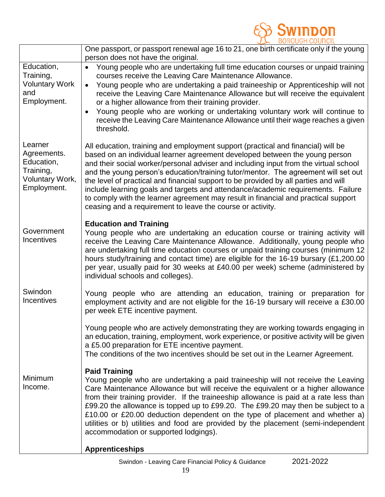

|                                                                                     | One passport, or passport renewal age 16 to 21, one birth certificate only if the young<br>person does not have the original.                                                                                                                                                                                                                                                                                                                                                                                                                                                                                                                                                |
|-------------------------------------------------------------------------------------|------------------------------------------------------------------------------------------------------------------------------------------------------------------------------------------------------------------------------------------------------------------------------------------------------------------------------------------------------------------------------------------------------------------------------------------------------------------------------------------------------------------------------------------------------------------------------------------------------------------------------------------------------------------------------|
| Education,<br>Training,<br><b>Voluntary Work</b><br>and<br>Employment.              | Young people who are undertaking full time education courses or unpaid training<br>courses receive the Leaving Care Maintenance Allowance.<br>Young people who are undertaking a paid traineeship or Apprenticeship will not<br>$\bullet$<br>receive the Leaving Care Maintenance Allowance but will receive the equivalent<br>or a higher allowance from their training provider.<br>Young people who are working or undertaking voluntary work will continue to<br>$\bullet$<br>receive the Leaving Care Maintenance Allowance until their wage reaches a given<br>threshold.                                                                                              |
| Learner<br>Agreements.<br>Education,<br>Training,<br>Voluntary Work,<br>Employment. | All education, training and employment support (practical and financial) will be<br>based on an individual learner agreement developed between the young person<br>and their social worker/personal adviser and including input from the virtual school<br>and the young person's education/training tutor/mentor. The agreement will set out<br>the level of practical and financial support to be provided by all parties and will<br>include learning goals and targets and attendance/academic requirements. Failure<br>to comply with the learner agreement may result in financial and practical support<br>ceasing and a requirement to leave the course or activity. |
| Government<br>Incentives                                                            | <b>Education and Training</b><br>Young people who are undertaking an education course or training activity will<br>receive the Leaving Care Maintenance Allowance. Additionally, young people who<br>are undertaking full time education courses or unpaid training courses (minimum 12<br>hours study/training and contact time) are eligible for the 16-19 bursary (£1,200.00<br>per year, usually paid for 30 weeks at £40.00 per week) scheme (administered by<br>individual schools and colleges).                                                                                                                                                                      |
| Swindon<br>Incentives                                                               | Young people who are attending an education, training or preparation for<br>employment activity and are not eligible for the 16-19 bursary will receive a £30.00<br>per week ETE incentive payment.                                                                                                                                                                                                                                                                                                                                                                                                                                                                          |
|                                                                                     | Young people who are actively demonstrating they are working towards engaging in<br>an education, training, employment, work experience, or positive activity will be given<br>a £5.00 preparation for ETE incentive payment.<br>The conditions of the two incentives should be set out in the Learner Agreement.                                                                                                                                                                                                                                                                                                                                                            |
| Minimum<br>Income.                                                                  | <b>Paid Training</b><br>Young people who are undertaking a paid traineeship will not receive the Leaving<br>Care Maintenance Allowance but will receive the equivalent or a higher allowance<br>from their training provider. If the traineeship allowance is paid at a rate less than<br>£99.20 the allowance is topped up to £99.20. The £99.20 may then be subject to a<br>£10.00 or £20.00 deduction dependent on the type of placement and whether a)<br>utilities or b) utilities and food are provided by the placement (semi-independent<br>accommodation or supported lodgings).                                                                                    |
|                                                                                     | <b>Apprenticeships</b>                                                                                                                                                                                                                                                                                                                                                                                                                                                                                                                                                                                                                                                       |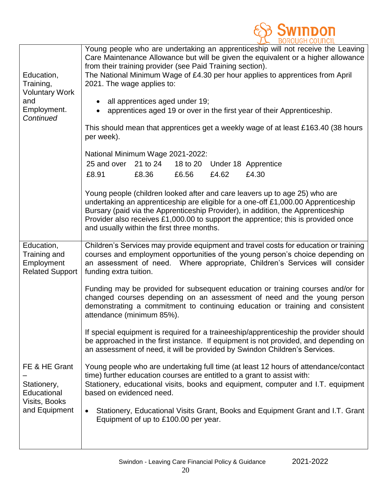

| Education,<br>Training,<br><b>Voluntary Work</b><br>and<br>Employment.<br>Continued | Young people who are undertaking an apprenticeship will not receive the Leaving<br>Care Maintenance Allowance but will be given the equivalent or a higher allowance<br>from their training provider (see Paid Training section).<br>The National Minimum Wage of £4.30 per hour applies to apprentices from April<br>2021. The wage applies to:<br>all apprentices aged under 19;<br>apprentices aged 19 or over in the first year of their Apprenticeship.<br>This should mean that apprentices get a weekly wage of at least £163.40 (38 hours<br>per week).<br>National Minimum Wage 2021-2022:<br>25 and over 21 to 24 18 to 20 Under 18 Apprentice |
|-------------------------------------------------------------------------------------|----------------------------------------------------------------------------------------------------------------------------------------------------------------------------------------------------------------------------------------------------------------------------------------------------------------------------------------------------------------------------------------------------------------------------------------------------------------------------------------------------------------------------------------------------------------------------------------------------------------------------------------------------------|
|                                                                                     | £8.91<br>£8.36<br>£6.56<br>£4.62<br>£4.30                                                                                                                                                                                                                                                                                                                                                                                                                                                                                                                                                                                                                |
|                                                                                     |                                                                                                                                                                                                                                                                                                                                                                                                                                                                                                                                                                                                                                                          |
|                                                                                     | Young people (children looked after and care leavers up to age 25) who are<br>undertaking an apprenticeship are eligible for a one-off £1,000.00 Apprenticeship<br>Bursary (paid via the Apprenticeship Provider), in addition, the Apprenticeship<br>Provider also receives £1,000.00 to support the apprentice; this is provided once<br>and usually within the first three months.                                                                                                                                                                                                                                                                    |
| Education,<br>Training and<br>Employment<br><b>Related Support</b>                  | Children's Services may provide equipment and travel costs for education or training<br>courses and employment opportunities of the young person's choice depending on<br>an assessment of need. Where appropriate, Children's Services will consider<br>funding extra tuition.                                                                                                                                                                                                                                                                                                                                                                          |
|                                                                                     | Funding may be provided for subsequent education or training courses and/or for<br>changed courses depending on an assessment of need and the young person<br>demonstrating a commitment to continuing education or training and consistent<br>attendance (minimum 85%).                                                                                                                                                                                                                                                                                                                                                                                 |
|                                                                                     | If special equipment is required for a traineeship/apprenticeship the provider should<br>be approached in the first instance. If equipment is not provided, and depending on<br>an assessment of need, it will be provided by Swindon Children's Services.                                                                                                                                                                                                                                                                                                                                                                                               |
| FE & HE Grant<br>Stationery,<br>Educational<br>Visits, Books                        | Young people who are undertaking full time (at least 12 hours of attendance/contact<br>time) further education courses are entitled to a grant to assist with:<br>Stationery, educational visits, books and equipment, computer and I.T. equipment<br>based on evidenced need.                                                                                                                                                                                                                                                                                                                                                                           |
| and Equipment                                                                       | Stationery, Educational Visits Grant, Books and Equipment Grant and I.T. Grant<br>$\bullet$<br>Equipment of up to £100.00 per year.                                                                                                                                                                                                                                                                                                                                                                                                                                                                                                                      |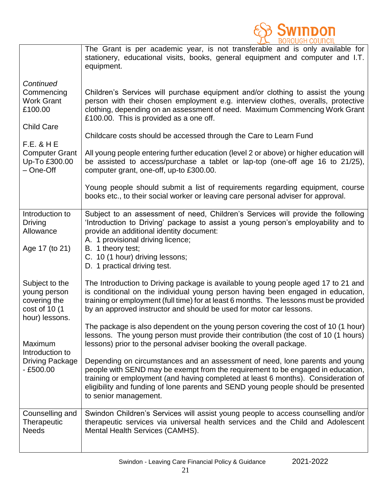

|                                                                                   | The Grant is per academic year, is not transferable and is only available for<br>stationery, educational visits, books, general equipment and computer and I.T.<br>equipment.                                                                                                                                                                                                                                                |
|-----------------------------------------------------------------------------------|------------------------------------------------------------------------------------------------------------------------------------------------------------------------------------------------------------------------------------------------------------------------------------------------------------------------------------------------------------------------------------------------------------------------------|
| Continued<br>Commencing<br><b>Work Grant</b><br>£100.00<br><b>Child Care</b>      | Children's Services will purchase equipment and/or clothing to assist the young<br>person with their chosen employment e.g. interview clothes, overalls, protective<br>clothing, depending on an assessment of need. Maximum Commencing Work Grant<br>£100.00. This is provided as a one off.                                                                                                                                |
| F.E. 8 H E                                                                        | Childcare costs should be accessed through the Care to Learn Fund                                                                                                                                                                                                                                                                                                                                                            |
| <b>Computer Grant</b><br>Up-To £300.00<br>- One-Off                               | All young people entering further education (level 2 or above) or higher education will<br>be assisted to access/purchase a tablet or lap-top (one-off age 16 to 21/25),<br>computer grant, one-off, up-to £300.00.                                                                                                                                                                                                          |
|                                                                                   | Young people should submit a list of requirements regarding equipment, course<br>books etc., to their social worker or leaving care personal adviser for approval.                                                                                                                                                                                                                                                           |
| Introduction to<br>Driving<br>Allowance<br>Age 17 (to 21)                         | Subject to an assessment of need, Children's Services will provide the following<br>'Introduction to Driving' package to assist a young person's employability and to<br>provide an additional identity document:<br>A. 1 provisional driving licence;<br>B. 1 theory test;<br>C. 10 (1 hour) driving lessons;<br>D. 1 practical driving test.                                                                               |
| Subject to the<br>young person<br>covering the<br>cost of 10 (1<br>hour) lessons. | The Introduction to Driving package is available to young people aged 17 to 21 and<br>is conditional on the individual young person having been engaged in education,<br>training or employment (full time) for at least 6 months. The lessons must be provided<br>by an approved instructor and should be used for motor car lessons.<br>The package is also dependent on the young person covering the cost of 10 (1 hour) |
| Maximum<br>Introduction to                                                        | lessons. The young person must provide their contribution (the cost of 10 (1 hours)<br>lessons) prior to the personal adviser booking the overall package.                                                                                                                                                                                                                                                                   |
| <b>Driving Package</b><br>$- E500.00$                                             | Depending on circumstances and an assessment of need, lone parents and young<br>people with SEND may be exempt from the requirement to be engaged in education,<br>training or employment (and having completed at least 6 months). Consideration of<br>eligibility and funding of lone parents and SEND young people should be presented<br>to senior management.                                                           |
| Counselling and<br>Therapeutic<br><b>Needs</b>                                    | Swindon Children's Services will assist young people to access counselling and/or<br>therapeutic services via universal health services and the Child and Adolescent<br>Mental Health Services (CAMHS).                                                                                                                                                                                                                      |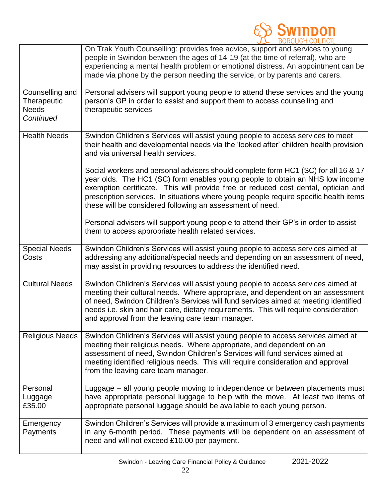

|                                                                    | On Trak Youth Counselling: provides free advice, support and services to young<br>people in Swindon between the ages of 14-19 (at the time of referral), who are<br>experiencing a mental health problem or emotional distress. An appointment can be<br>made via phone by the person needing the service, or by parents and carers.                                                                            |
|--------------------------------------------------------------------|-----------------------------------------------------------------------------------------------------------------------------------------------------------------------------------------------------------------------------------------------------------------------------------------------------------------------------------------------------------------------------------------------------------------|
| Counselling and<br><b>Therapeutic</b><br><b>Needs</b><br>Continued | Personal advisers will support young people to attend these services and the young<br>person's GP in order to assist and support them to access counselling and<br>therapeutic services                                                                                                                                                                                                                         |
| <b>Health Needs</b>                                                | Swindon Children's Services will assist young people to access services to meet<br>their health and developmental needs via the 'looked after' children health provision<br>and via universal health services.                                                                                                                                                                                                  |
|                                                                    | Social workers and personal advisers should complete form HC1 (SC) for all 16 & 17<br>year olds. The HC1 (SC) form enables young people to obtain an NHS low income<br>exemption certificate. This will provide free or reduced cost dental, optician and<br>prescription services. In situations where young people require specific health items<br>these will be considered following an assessment of need. |
|                                                                    | Personal advisers will support young people to attend their GP's in order to assist<br>them to access appropriate health related services.                                                                                                                                                                                                                                                                      |
| <b>Special Needs</b><br>Costs                                      | Swindon Children's Services will assist young people to access services aimed at<br>addressing any additional/special needs and depending on an assessment of need,<br>may assist in providing resources to address the identified need.                                                                                                                                                                        |
| <b>Cultural Needs</b>                                              | Swindon Children's Services will assist young people to access services aimed at<br>meeting their cultural needs. Where appropriate, and dependent on an assessment<br>of need, Swindon Children's Services will fund services aimed at meeting identified<br>needs i.e. skin and hair care, dietary requirements. This will require consideration<br>and approval from the leaving care team manager.          |
| <b>Religious Needs</b>                                             | Swindon Children's Services will assist young people to access services aimed at<br>meeting their religious needs. Where appropriate, and dependent on an<br>assessment of need, Swindon Children's Services will fund services aimed at<br>meeting identified religious needs. This will require consideration and approval<br>from the leaving care team manager.                                             |
| Personal<br>Luggage<br>£35.00                                      | Luggage - all young people moving to independence or between placements must<br>have appropriate personal luggage to help with the move. At least two items of<br>appropriate personal luggage should be available to each young person.                                                                                                                                                                        |
| Emergency<br>Payments                                              | Swindon Children's Services will provide a maximum of 3 emergency cash payments<br>in any 6-month period. These payments will be dependent on an assessment of<br>need and will not exceed £10.00 per payment.                                                                                                                                                                                                  |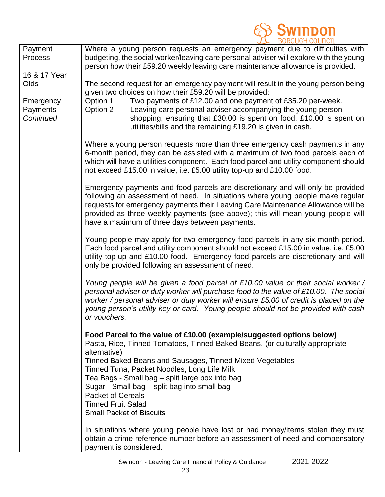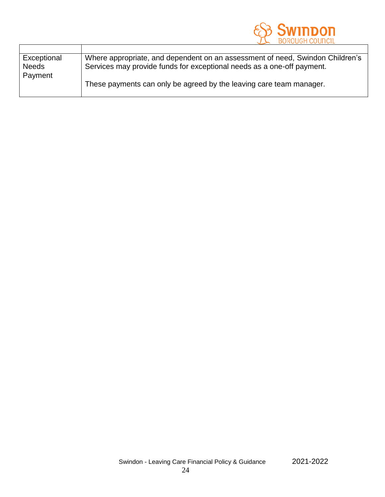

| Exceptional             | Where appropriate, and dependent on an assessment of need, Swindon Children's |
|-------------------------|-------------------------------------------------------------------------------|
| <b>Needs</b><br>Payment | Services may provide funds for exceptional needs as a one-off payment.        |
|                         | These payments can only be agreed by the leaving care team manager.           |

 $\mathsf{r}$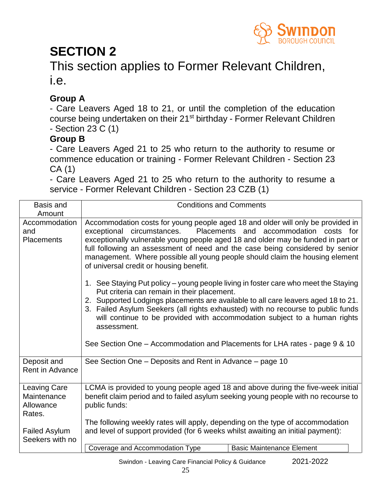

## **SECTION 2**

## This section applies to Former Relevant Children, i.e.

### **Group A**

- Care Leavers Aged 18 to 21, or until the completion of the education course being undertaken on their 21st birthday - Former Relevant Children - Section 23 C (1)

### **Group B**

- Care Leavers Aged 21 to 25 who return to the authority to resume or commence education or training - Former Relevant Children - Section 23 CA (1)

- Care Leavers Aged 21 to 25 who return to the authority to resume a service - Former Relevant Children - Section 23 CZB (1)

| Basis and<br>Amount                                | <b>Conditions and Comments</b>                                                                                                                                                                                                                                                                                                                                                                                                                                                        |
|----------------------------------------------------|---------------------------------------------------------------------------------------------------------------------------------------------------------------------------------------------------------------------------------------------------------------------------------------------------------------------------------------------------------------------------------------------------------------------------------------------------------------------------------------|
| Accommodation<br>and<br><b>Placements</b>          | Accommodation costs for young people aged 18 and older will only be provided in<br>exceptional circumstances.<br>Placements and accommodation costs for<br>exceptionally vulnerable young people aged 18 and older may be funded in part or<br>full following an assessment of need and the case being considered by senior<br>management. Where possible all young people should claim the housing element<br>of universal credit or housing benefit.                                |
|                                                    | 1. See Staying Put policy – young people living in foster care who meet the Staying<br>Put criteria can remain in their placement.<br>2. Supported Lodgings placements are available to all care leavers aged 18 to 21.<br>3. Failed Asylum Seekers (all rights exhausted) with no recourse to public funds<br>will continue to be provided with accommodation subject to a human rights<br>assessment.<br>See Section One – Accommodation and Placements for LHA rates - page 9 & 10 |
| Deposit and<br>Rent in Advance                     | See Section One - Deposits and Rent in Advance - page 10                                                                                                                                                                                                                                                                                                                                                                                                                              |
| Leaving Care<br>Maintenance<br>Allowance<br>Rates. | LCMA is provided to young people aged 18 and above during the five-week initial<br>benefit claim period and to failed asylum seeking young people with no recourse to<br>public funds:                                                                                                                                                                                                                                                                                                |
| <b>Failed Asylum</b><br>Seekers with no            | The following weekly rates will apply, depending on the type of accommodation<br>and level of support provided (for 6 weeks whilst awaiting an initial payment):                                                                                                                                                                                                                                                                                                                      |
|                                                    | Coverage and Accommodation Type<br><b>Basic Maintenance Element</b>                                                                                                                                                                                                                                                                                                                                                                                                                   |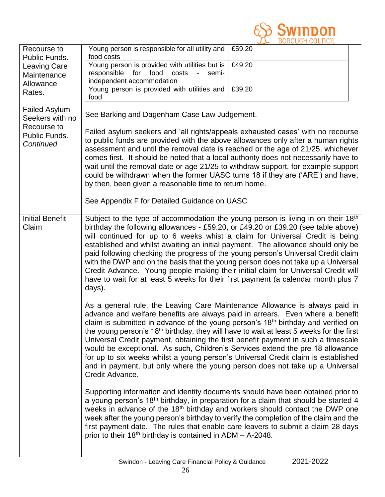

| Recourse to                                                                          | Young person is responsible for all utility and<br>£59.20                                                                                                                                                                                                                                                                                                                                                                                                                                                                                                                                                                                                                                                                           |
|--------------------------------------------------------------------------------------|-------------------------------------------------------------------------------------------------------------------------------------------------------------------------------------------------------------------------------------------------------------------------------------------------------------------------------------------------------------------------------------------------------------------------------------------------------------------------------------------------------------------------------------------------------------------------------------------------------------------------------------------------------------------------------------------------------------------------------------|
| Public Funds.<br>Leaving Care                                                        | food costs<br>Young person is provided with utilities but is<br>£49.20                                                                                                                                                                                                                                                                                                                                                                                                                                                                                                                                                                                                                                                              |
| Maintenance                                                                          | for food<br>responsible<br>costs<br>semi-                                                                                                                                                                                                                                                                                                                                                                                                                                                                                                                                                                                                                                                                                           |
| Allowance                                                                            | independent accommodation                                                                                                                                                                                                                                                                                                                                                                                                                                                                                                                                                                                                                                                                                                           |
| Rates.                                                                               | Young person is provided with utilities and<br>£39.20<br>food                                                                                                                                                                                                                                                                                                                                                                                                                                                                                                                                                                                                                                                                       |
| <b>Failed Asylum</b><br>Seekers with no<br>Recourse to<br>Public Funds.<br>Continued | See Barking and Dagenham Case Law Judgement.<br>Failed asylum seekers and 'all rights/appeals exhausted cases' with no recourse<br>to public funds are provided with the above allowances only after a human rights<br>assessment and until the removal date is reached or the age of 21/25, whichever<br>comes first. It should be noted that a local authority does not necessarily have to<br>wait until the removal date or age 21/25 to withdraw support, for example support<br>could be withdrawn when the former UASC turns 18 if they are ('ARE') and have,<br>by then, been given a reasonable time to return home.                                                                                                       |
|                                                                                      | See Appendix F for Detailed Guidance on UASC                                                                                                                                                                                                                                                                                                                                                                                                                                                                                                                                                                                                                                                                                        |
| <b>Initial Benefit</b><br>Claim                                                      | Subject to the type of accommodation the young person is living in on their 18th<br>birthday the following allowances - £59.20, or £49.20 or £39.20 (see table above)<br>will continued for up to 6 weeks whist a claim for Universal Credit is being<br>established and whilst awaiting an initial payment. The allowance should only be<br>paid following checking the progress of the young person's Universal Credit claim<br>with the DWP and on the basis that the young person does not take up a Universal<br>Credit Advance. Young people making their initial claim for Universal Credit will<br>have to wait for at least 5 weeks for their first payment (a calendar month plus 7<br>days).                             |
|                                                                                      | As a general rule, the Leaving Care Maintenance Allowance is always paid in<br>advance and welfare benefits are always paid in arrears. Even where a benefit<br>claim is submitted in advance of the young person's 18 <sup>th</sup> birthday and verified on<br>the young person's 18 <sup>th</sup> birthday, they will have to wait at least 5 weeks for the first<br>Universal Credit payment, obtaining the first benefit payment in such a timescale<br>would be exceptional. As such, Children's Services extend the pre 18 allowance<br>for up to six weeks whilst a young person's Universal Credit claim is established<br>and in payment, but only where the young person does not take up a Universal<br>Credit Advance. |
|                                                                                      | Supporting information and identity documents should have been obtained prior to<br>a young person's 18 <sup>th</sup> birthday, in preparation for a claim that should be started 4<br>weeks in advance of the 18 <sup>th</sup> birthday and workers should contact the DWP one<br>week after the young person's birthday to verify the completion of the claim and the<br>first payment date. The rules that enable care leavers to submit a claim 28 days<br>prior to their 18 <sup>th</sup> birthday is contained in $ADM - A-2048$ .                                                                                                                                                                                            |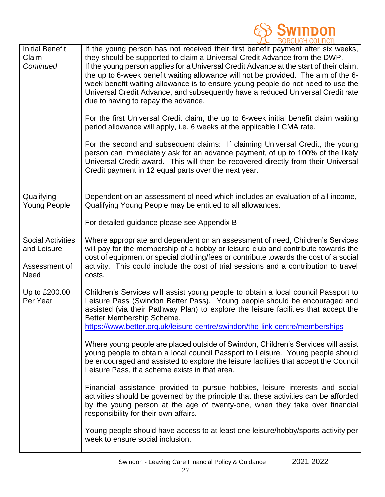

| <b>Initial Benefit</b><br>Claim<br>Continued                     | If the young person has not received their first benefit payment after six weeks,<br>they should be supported to claim a Universal Credit Advance from the DWP.<br>If the young person applies for a Universal Credit Advance at the start of their claim,<br>the up to 6-week benefit waiting allowance will not be provided. The aim of the 6-<br>week benefit waiting allowance is to ensure young people do not need to use the<br>Universal Credit Advance, and subsequently have a reduced Universal Credit rate<br>due to having to repay the advance.<br>For the first Universal Credit claim, the up to 6-week initial benefit claim waiting |
|------------------------------------------------------------------|-------------------------------------------------------------------------------------------------------------------------------------------------------------------------------------------------------------------------------------------------------------------------------------------------------------------------------------------------------------------------------------------------------------------------------------------------------------------------------------------------------------------------------------------------------------------------------------------------------------------------------------------------------|
|                                                                  | period allowance will apply, i.e. 6 weeks at the applicable LCMA rate.                                                                                                                                                                                                                                                                                                                                                                                                                                                                                                                                                                                |
|                                                                  | For the second and subsequent claims: If claiming Universal Credit, the young<br>person can immediately ask for an advance payment, of up to 100% of the likely<br>Universal Credit award. This will then be recovered directly from their Universal<br>Credit payment in 12 equal parts over the next year.                                                                                                                                                                                                                                                                                                                                          |
| Qualifying                                                       | Dependent on an assessment of need which includes an evaluation of all income,                                                                                                                                                                                                                                                                                                                                                                                                                                                                                                                                                                        |
| <b>Young People</b>                                              | Qualifying Young People may be entitled to all allowances.                                                                                                                                                                                                                                                                                                                                                                                                                                                                                                                                                                                            |
|                                                                  | For detailed guidance please see Appendix B                                                                                                                                                                                                                                                                                                                                                                                                                                                                                                                                                                                                           |
| <b>Social Activities</b><br>and Leisure<br>Assessment of<br>Need | Where appropriate and dependent on an assessment of need, Children's Services<br>will pay for the membership of a hobby or leisure club and contribute towards the<br>cost of equipment or special clothing/fees or contribute towards the cost of a social<br>activity. This could include the cost of trial sessions and a contribution to travel<br>costs.                                                                                                                                                                                                                                                                                         |
| Up to £200.00<br>Per Year                                        | Children's Services will assist young people to obtain a local council Passport to<br>Leisure Pass (Swindon Better Pass). Young people should be encouraged and<br>assisted (via their Pathway Plan) to explore the leisure facilities that accept the<br>Better Membership Scheme.<br>https://www.better.org.uk/leisure-centre/swindon/the-link-centre/memberships                                                                                                                                                                                                                                                                                   |
|                                                                  | Where young people are placed outside of Swindon, Children's Services will assist<br>young people to obtain a local council Passport to Leisure. Young people should<br>be encouraged and assisted to explore the leisure facilities that accept the Council<br>Leisure Pass, if a scheme exists in that area.                                                                                                                                                                                                                                                                                                                                        |
|                                                                  | Financial assistance provided to pursue hobbies, leisure interests and social<br>activities should be governed by the principle that these activities can be afforded<br>by the young person at the age of twenty-one, when they take over financial<br>responsibility for their own affairs.                                                                                                                                                                                                                                                                                                                                                         |
|                                                                  | Young people should have access to at least one leisure/hobby/sports activity per<br>week to ensure social inclusion.                                                                                                                                                                                                                                                                                                                                                                                                                                                                                                                                 |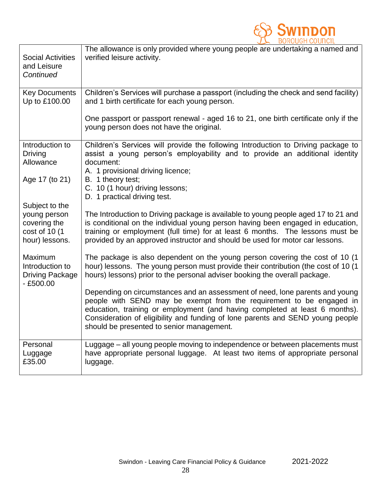

| <b>Social Activities</b><br>and Leisure<br>Continued                              | The allowance is only provided where young people are undertaking a named and<br>verified leisure activity.                                                                                                                                                                                                                                                        |
|-----------------------------------------------------------------------------------|--------------------------------------------------------------------------------------------------------------------------------------------------------------------------------------------------------------------------------------------------------------------------------------------------------------------------------------------------------------------|
| <b>Key Documents</b><br>Up to £100.00                                             | Children's Services will purchase a passport (including the check and send facility)<br>and 1 birth certificate for each young person.                                                                                                                                                                                                                             |
|                                                                                   | One passport or passport renewal - aged 16 to 21, one birth certificate only if the<br>young person does not have the original.                                                                                                                                                                                                                                    |
| Introduction to<br><b>Driving</b><br>Allowance                                    | Children's Services will provide the following Introduction to Driving package to<br>assist a young person's employability and to provide an additional identity<br>document:<br>A. 1 provisional driving licence;                                                                                                                                                 |
| Age 17 (to 21)                                                                    | B. 1 theory test;<br>C. 10 (1 hour) driving lessons;<br>D. 1 practical driving test.                                                                                                                                                                                                                                                                               |
| Subject to the<br>young person<br>covering the<br>cost of 10 (1<br>hour) lessons. | The Introduction to Driving package is available to young people aged 17 to 21 and<br>is conditional on the individual young person having been engaged in education,<br>training or employment (full time) for at least 6 months. The lessons must be<br>provided by an approved instructor and should be used for motor car lessons.                             |
| Maximum<br>Introduction to<br><b>Driving Package</b><br>$- E500.00$               | The package is also dependent on the young person covering the cost of 10 (1)<br>hour) lessons. The young person must provide their contribution (the cost of 10 (1)<br>hours) lessons) prior to the personal adviser booking the overall package.                                                                                                                 |
|                                                                                   | Depending on circumstances and an assessment of need, lone parents and young<br>people with SEND may be exempt from the requirement to be engaged in<br>education, training or employment (and having completed at least 6 months).<br>Consideration of eligibility and funding of lone parents and SEND young people<br>should be presented to senior management. |
| Personal<br>Luggage<br>£35.00                                                     | Luggage - all young people moving to independence or between placements must<br>have appropriate personal luggage. At least two items of appropriate personal<br>luggage.                                                                                                                                                                                          |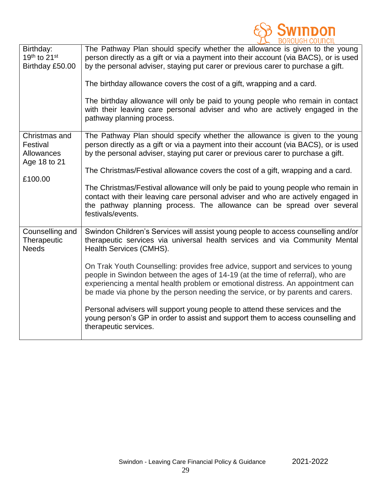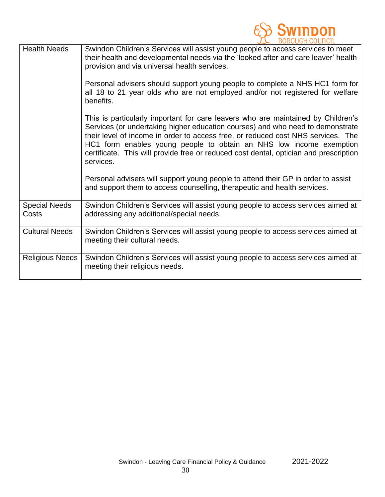|                               | BOROUGH COUNCIL                                                                                                                                                                                                                                                                                                                                                                                                                     |
|-------------------------------|-------------------------------------------------------------------------------------------------------------------------------------------------------------------------------------------------------------------------------------------------------------------------------------------------------------------------------------------------------------------------------------------------------------------------------------|
| <b>Health Needs</b>           | Swindon Children's Services will assist young people to access services to meet<br>their health and developmental needs via the 'looked after and care leaver' health<br>provision and via universal health services.                                                                                                                                                                                                               |
|                               | Personal advisers should support young people to complete a NHS HC1 form for<br>all 18 to 21 year olds who are not employed and/or not registered for welfare<br>benefits.                                                                                                                                                                                                                                                          |
|                               | This is particularly important for care leavers who are maintained by Children's<br>Services (or undertaking higher education courses) and who need to demonstrate<br>their level of income in order to access free, or reduced cost NHS services. The<br>HC1 form enables young people to obtain an NHS low income exemption<br>certificate. This will provide free or reduced cost dental, optician and prescription<br>services. |
|                               | Personal advisers will support young people to attend their GP in order to assist<br>and support them to access counselling, therapeutic and health services.                                                                                                                                                                                                                                                                       |
| <b>Special Needs</b><br>Costs | Swindon Children's Services will assist young people to access services aimed at<br>addressing any additional/special needs.                                                                                                                                                                                                                                                                                                        |
| <b>Cultural Needs</b>         | Swindon Children's Services will assist young people to access services aimed at<br>meeting their cultural needs.                                                                                                                                                                                                                                                                                                                   |
| <b>Religious Needs</b>        | Swindon Children's Services will assist young people to access services aimed at<br>meeting their religious needs.                                                                                                                                                                                                                                                                                                                  |

**& Swindon**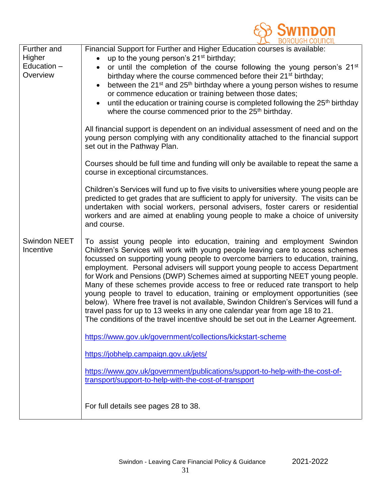

| Further and                      | Financial Support for Further and Higher Education courses is available:                                                                                                                                                                                                                                                                                                                                                                                                                                                                                                                                                                                                                                                                                                                                                                  |
|----------------------------------|-------------------------------------------------------------------------------------------------------------------------------------------------------------------------------------------------------------------------------------------------------------------------------------------------------------------------------------------------------------------------------------------------------------------------------------------------------------------------------------------------------------------------------------------------------------------------------------------------------------------------------------------------------------------------------------------------------------------------------------------------------------------------------------------------------------------------------------------|
| Higher                           | up to the young person's 21 <sup>st</sup> birthday;                                                                                                                                                                                                                                                                                                                                                                                                                                                                                                                                                                                                                                                                                                                                                                                       |
| Education -<br>Overview          | or until the completion of the course following the young person's 21 <sup>st</sup><br>$\bullet$<br>birthday where the course commenced before their 21 <sup>st</sup> birthday;                                                                                                                                                                                                                                                                                                                                                                                                                                                                                                                                                                                                                                                           |
|                                  | between the 21 <sup>st</sup> and 25 <sup>th</sup> birthday where a young person wishes to resume<br>or commence education or training between those dates;                                                                                                                                                                                                                                                                                                                                                                                                                                                                                                                                                                                                                                                                                |
|                                  | until the education or training course is completed following the 25 <sup>th</sup> birthday<br>where the course commenced prior to the 25 <sup>th</sup> birthday.                                                                                                                                                                                                                                                                                                                                                                                                                                                                                                                                                                                                                                                                         |
|                                  | All financial support is dependent on an individual assessment of need and on the<br>young person complying with any conditionality attached to the financial support<br>set out in the Pathway Plan.                                                                                                                                                                                                                                                                                                                                                                                                                                                                                                                                                                                                                                     |
|                                  | Courses should be full time and funding will only be available to repeat the same a<br>course in exceptional circumstances.                                                                                                                                                                                                                                                                                                                                                                                                                                                                                                                                                                                                                                                                                                               |
|                                  | Children's Services will fund up to five visits to universities where young people are<br>predicted to get grades that are sufficient to apply for university. The visits can be<br>undertaken with social workers, personal advisers, foster carers or residential<br>workers and are aimed at enabling young people to make a choice of university<br>and course.                                                                                                                                                                                                                                                                                                                                                                                                                                                                       |
| <b>Swindon NEET</b><br>Incentive | To assist young people into education, training and employment Swindon<br>Children's Services will work with young people leaving care to access schemes<br>focussed on supporting young people to overcome barriers to education, training,<br>employment. Personal advisers will support young people to access Department<br>for Work and Pensions (DWP) Schemes aimed at supporting NEET young people.<br>Many of these schemes provide access to free or reduced rate transport to help<br>young people to travel to education, training or employment opportunities (see<br>below). Where free travel is not available, Swindon Children's Services will fund a<br>travel pass for up to 13 weeks in any one calendar year from age 18 to 21.<br>The conditions of the travel incentive should be set out in the Learner Agreement. |
|                                  | https://www.gov.uk/government/collections/kickstart-scheme                                                                                                                                                                                                                                                                                                                                                                                                                                                                                                                                                                                                                                                                                                                                                                                |
|                                  | https://jobhelp.campaign.gov.uk/jets/                                                                                                                                                                                                                                                                                                                                                                                                                                                                                                                                                                                                                                                                                                                                                                                                     |
|                                  | https://www.gov.uk/government/publications/support-to-help-with-the-cost-of-<br>transport/support-to-help-with-the-cost-of-transport                                                                                                                                                                                                                                                                                                                                                                                                                                                                                                                                                                                                                                                                                                      |
|                                  | For full details see pages 28 to 38.                                                                                                                                                                                                                                                                                                                                                                                                                                                                                                                                                                                                                                                                                                                                                                                                      |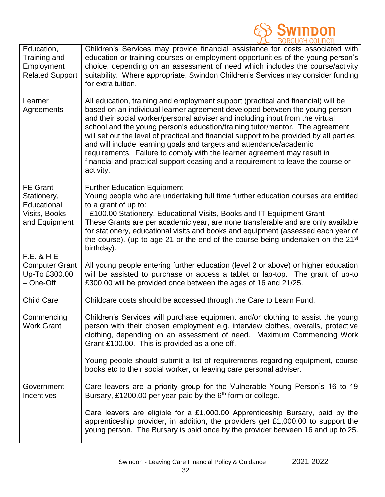

| Education,                          | Children's Services may provide financial assistance for costs associated with                                                                                                                                                                                                                                                                                                                                                                                                                               |
|-------------------------------------|--------------------------------------------------------------------------------------------------------------------------------------------------------------------------------------------------------------------------------------------------------------------------------------------------------------------------------------------------------------------------------------------------------------------------------------------------------------------------------------------------------------|
| Training and                        | education or training courses or employment opportunities of the young person's                                                                                                                                                                                                                                                                                                                                                                                                                              |
| Employment                          | choice, depending on an assessment of need which includes the course/activity                                                                                                                                                                                                                                                                                                                                                                                                                                |
| <b>Related Support</b>              | suitability. Where appropriate, Swindon Children's Services may consider funding                                                                                                                                                                                                                                                                                                                                                                                                                             |
|                                     | for extra tuition.                                                                                                                                                                                                                                                                                                                                                                                                                                                                                           |
| Learner<br>Agreements               | All education, training and employment support (practical and financial) will be<br>based on an individual learner agreement developed between the young person                                                                                                                                                                                                                                                                                                                                              |
|                                     | and their social worker/personal adviser and including input from the virtual<br>school and the young person's education/training tutor/mentor. The agreement<br>will set out the level of practical and financial support to be provided by all parties<br>and will include learning goals and targets and attendance/academic<br>requirements. Failure to comply with the learner agreement may result in<br>financial and practical support ceasing and a requirement to leave the course or<br>activity. |
|                                     |                                                                                                                                                                                                                                                                                                                                                                                                                                                                                                              |
| FE Grant -                          | <b>Further Education Equipment</b>                                                                                                                                                                                                                                                                                                                                                                                                                                                                           |
| Stationery,<br>Educational          | Young people who are undertaking full time further education courses are entitled                                                                                                                                                                                                                                                                                                                                                                                                                            |
| Visits, Books                       | to a grant of up to:<br>- £100.00 Stationery, Educational Visits, Books and IT Equipment Grant                                                                                                                                                                                                                                                                                                                                                                                                               |
| and Equipment                       | These Grants are per academic year, are none transferable and are only available                                                                                                                                                                                                                                                                                                                                                                                                                             |
|                                     | for stationery, educational visits and books and equipment (assessed each year of                                                                                                                                                                                                                                                                                                                                                                                                                            |
|                                     | the course). (up to age 21 or the end of the course being undertaken on the 21 <sup>st</sup>                                                                                                                                                                                                                                                                                                                                                                                                                 |
|                                     | birthday).                                                                                                                                                                                                                                                                                                                                                                                                                                                                                                   |
| F.E. 8 H E<br><b>Computer Grant</b> | All young people entering further education (level 2 or above) or higher education                                                                                                                                                                                                                                                                                                                                                                                                                           |
| Up-To £300.00                       | will be assisted to purchase or access a tablet or lap-top. The grant of up-to                                                                                                                                                                                                                                                                                                                                                                                                                               |
| $-$ One-Off                         | £300.00 will be provided once between the ages of 16 and 21/25.                                                                                                                                                                                                                                                                                                                                                                                                                                              |
|                                     |                                                                                                                                                                                                                                                                                                                                                                                                                                                                                                              |
| <b>Child Care</b>                   | Childcare costs should be accessed through the Care to Learn Fund.                                                                                                                                                                                                                                                                                                                                                                                                                                           |
| Commencing                          | Children's Services will purchase equipment and/or clothing to assist the young                                                                                                                                                                                                                                                                                                                                                                                                                              |
| <b>Work Grant</b>                   | person with their chosen employment e.g. interview clothes, overalls, protective                                                                                                                                                                                                                                                                                                                                                                                                                             |
|                                     | clothing, depending on an assessment of need. Maximum Commencing Work                                                                                                                                                                                                                                                                                                                                                                                                                                        |
|                                     | Grant £100.00. This is provided as a one off.                                                                                                                                                                                                                                                                                                                                                                                                                                                                |
|                                     | Young people should submit a list of requirements regarding equipment, course                                                                                                                                                                                                                                                                                                                                                                                                                                |
|                                     | books etc to their social worker, or leaving care personal adviser.                                                                                                                                                                                                                                                                                                                                                                                                                                          |
| Government                          | Care leavers are a priority group for the Vulnerable Young Person's 16 to 19                                                                                                                                                                                                                                                                                                                                                                                                                                 |
| Incentives                          | Bursary, £1200.00 per year paid by the 6 <sup>th</sup> form or college.                                                                                                                                                                                                                                                                                                                                                                                                                                      |
|                                     | Care leavers are eligible for a £1,000.00 Apprenticeship Bursary, paid by the                                                                                                                                                                                                                                                                                                                                                                                                                                |
|                                     | apprenticeship provider, in addition, the providers get £1,000.00 to support the                                                                                                                                                                                                                                                                                                                                                                                                                             |
|                                     | young person. The Bursary is paid once by the provider between 16 and up to 25.                                                                                                                                                                                                                                                                                                                                                                                                                              |
|                                     |                                                                                                                                                                                                                                                                                                                                                                                                                                                                                                              |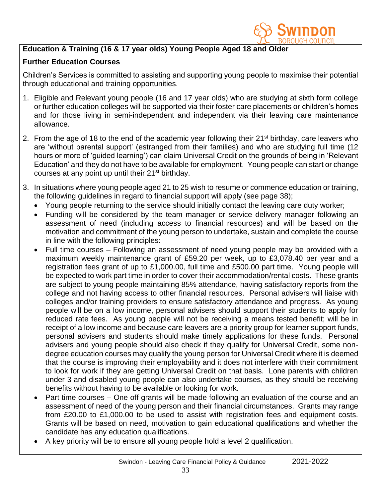

### **Education & Training (16 & 17 year olds) Young People Aged 18 and Older**

### **Further Education Courses**

Children's Services is committed to assisting and supporting young people to maximise their potential through educational and training opportunities.

- 1. Eligible and Relevant young people (16 and 17 year olds) who are studying at sixth form college or further education colleges will be supported via their foster care placements or children's homes and for those living in semi-independent and independent via their leaving care maintenance allowance.
- 2. From the age of 18 to the end of the academic year following their 21<sup>st</sup> birthday, care leavers who are 'without parental support' (estranged from their families) and who are studying full time (12 hours or more of 'guided learning') can claim Universal Credit on the grounds of being in 'Relevant Education' and they do not have to be available for employment. Young people can start or change courses at any point up until their 21<sup>st</sup> birthday.
- 3. In situations where young people aged 21 to 25 wish to resume or commence education or training, the following guidelines in regard to financial support will apply (see page 38);
	- Young people returning to the service should initially contact the leaving care duty worker;
	- Funding will be considered by the team manager or service delivery manager following an assessment of need (including access to financial resources) and will be based on the motivation and commitment of the young person to undertake, sustain and complete the course in line with the following principles:
	- Full time courses Following an assessment of need young people may be provided with a maximum weekly maintenance grant of £59.20 per week, up to £3,078.40 per year and a registration fees grant of up to £1,000.00, full time and £500.00 part time. Young people will be expected to work part time in order to cover their accommodation/rental costs. These grants are subject to young people maintaining 85% attendance, having satisfactory reports from the college and not having access to other financial resources. Personal advisers will liaise with colleges and/or training providers to ensure satisfactory attendance and progress. As young people will be on a low income, personal advisers should support their students to apply for reduced rate fees. As young people will not be receiving a means tested benefit; will be in receipt of a low income and because care leavers are a priority group for learner support funds, personal advisers and students should make timely applications for these funds. Personal advisers and young people should also check if they qualify for Universal Credit, some nondegree education courses may qualify the young person for Universal Credit where it is deemed that the course is improving their employability and it does not interfere with their commitment to look for work if they are getting Universal Credit on that basis. Lone parents with children under 3 and disabled young people can also undertake courses, as they should be receiving benefits without having to be available or looking for work.
	- Part time courses One off grants will be made following an evaluation of the course and an assessment of need of the young person and their financial circumstances. Grants may range from £20.00 to £1,000.00 to be used to assist with registration fees and equipment costs. Grants will be based on need, motivation to gain educational qualifications and whether the candidate has any education qualifications.
	- A key priority will be to ensure all young people hold a level 2 qualification.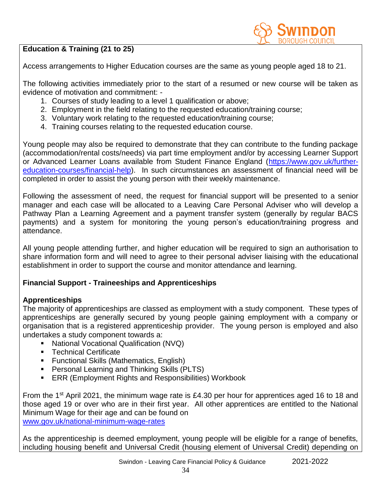### **Education & Training (21 to 25)**



Access arrangements to Higher Education courses are the same as young people aged 18 to 21.

The following activities immediately prior to the start of a resumed or new course will be taken as evidence of motivation and commitment: -

- 1. Courses of study leading to a level 1 qualification or above;
- 2. Employment in the field relating to the requested education/training course;
- 3. Voluntary work relating to the requested education/training course;
- 4. Training courses relating to the requested education course.

Young people may also be required to demonstrate that they can contribute to the funding package (accommodation/rental costs/needs) via part time employment and/or by accessing Learner Support or Advanced Learner Loans available from Student Finance England [\(https://www.gov.uk/further](https://www.gov.uk/further-education-courses/financial-help)[education-courses/financial-help\)](https://www.gov.uk/further-education-courses/financial-help). In such circumstances an assessment of financial need will be completed in order to assist the young person with their weekly maintenance.

Following the assessment of need, the request for financial support will be presented to a senior manager and each case will be allocated to a Leaving Care Personal Adviser who will develop a Pathway Plan a Learning Agreement and a payment transfer system (generally by regular BACS payments) and a system for monitoring the young person's education/training progress and attendance.

All young people attending further, and higher education will be required to sign an authorisation to share information form and will need to agree to their personal adviser liaising with the educational establishment in order to support the course and monitor attendance and learning.

### **Financial Support - Traineeships and Apprenticeships**

#### **Apprenticeships**

The majority of apprenticeships are classed as employment with a study component. These types of apprenticeships are generally secured by young people gaining employment with a company or organisation that is a registered apprenticeship provider. The young person is employed and also undertakes a study component towards a:

- National Vocational Qualification (NVQ)
- **Technical Certificate**
- **Functional Skills (Mathematics, English)**
- **Personal Learning and Thinking Skills (PLTS)**
- **ERR (Employment Rights and Responsibilities) Workbook**

From the 1<sup>st</sup> April 2021, the minimum wage rate is £4.30 per hour for apprentices aged 16 to 18 and those aged 19 or over who are in their first year. All other apprentices are entitled to the National Minimum Wage for their age and can be found on [www.gov.uk/national-minimum-wage-rates](http://www.gov.uk/national-minimum-wage-rates)

As the apprenticeship is deemed employment, young people will be eligible for a range of benefits, including housing benefit and Universal Credit (housing element of Universal Credit) depending on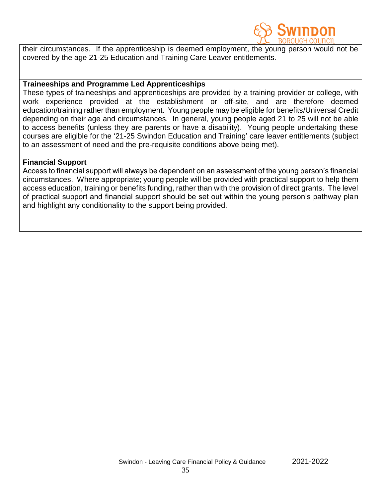

their circumstances. If the apprenticeship is deemed employment, the young person would not be covered by the age 21-25 Education and Training Care Leaver entitlements.

#### **Traineeships and Programme Led Apprenticeships**

These types of traineeships and apprenticeships are provided by a training provider or college, with work experience provided at the establishment or off-site, and are therefore deemed education/training rather than employment. Young people may be eligible for benefits/Universal Credit depending on their age and circumstances. In general, young people aged 21 to 25 will not be able to access benefits (unless they are parents or have a disability). Young people undertaking these courses are eligible for the '21-25 Swindon Education and Training' care leaver entitlements (subject to an assessment of need and the pre-requisite conditions above being met).

#### **Financial Support**

Access to financial support will always be dependent on an assessment of the young person's financial circumstances. Where appropriate; young people will be provided with practical support to help them access education, training or benefits funding, rather than with the provision of direct grants. The level of practical support and financial support should be set out within the young person's pathway plan and highlight any conditionality to the support being provided.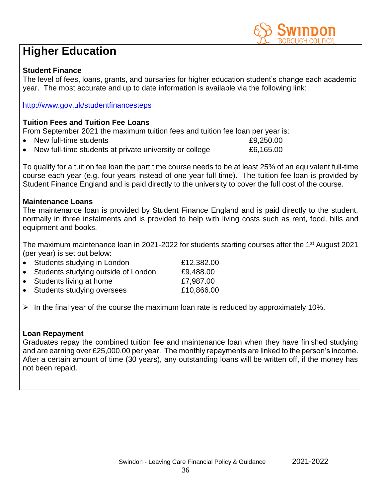

## **Higher Education**

### **Student Finance**

The level of fees, loans, grants, and bursaries for higher education student's change each academic year. The most accurate and up to date information is available via the following link:

<http://www.gov.uk/studentfinancesteps>

### **Tuition Fees and Tuition Fee Loans**

From September 2021 the maximum tuition fees and tuition fee loan per year is:

New full-time students **E9.250.00** • New full-time students at private university or college  $£6,165.00$ 

To qualify for a tuition fee loan the part time course needs to be at least 25% of an equivalent full-time course each year (e.g. four years instead of one year full time). The tuition fee loan is provided by Student Finance England and is paid directly to the university to cover the full cost of the course.

### **Maintenance Loans**

The maintenance loan is provided by Student Finance England and is paid directly to the student, normally in three instalments and is provided to help with living costs such as rent, food, bills and equipment and books.

The maximum maintenance loan in 2021-2022 for students starting courses after the 1<sup>st</sup> August 2021 (per year) is set out below:

| • Students studying in London         | £12,382.00 |
|---------------------------------------|------------|
| • Students studying outside of London | £9,488.00  |
| • Students living at home             | £7,987.00  |
| • Students studying oversees          | £10,866.00 |

 $\triangleright$  In the final year of the course the maximum loan rate is reduced by approximately 10%.

### **Loan Repayment**

Graduates repay the combined tuition fee and maintenance loan when they have finished studying and are earning over £25,000.00 per year. The monthly repayments are linked to the person's income. After a certain amount of time (30 years), any outstanding loans will be written off, if the money has not been repaid.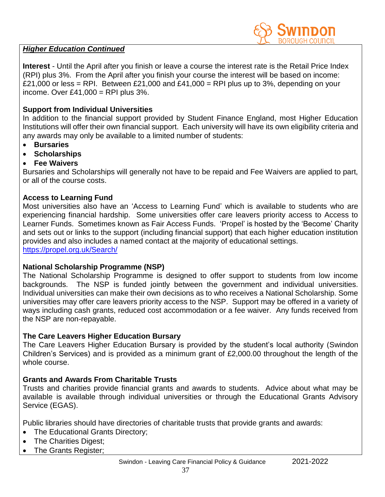

#### *Higher Education Continued*

**Interest** - Until the April after you finish or leave a course the interest rate is the Retail Price Index (RPI) plus 3%. From the April after you finish your course the interest will be based on income: £21,000 or less = RPI. Between £21,000 and £41,000 = RPI plus up to 3%, depending on your income. Over £41,000 = RPI plus  $3\%$ .

#### **Support from Individual Universities**

In addition to the financial support provided by Student Finance England, most Higher Education Institutions will offer their own financial support. Each university will have its own eligibility criteria and any awards may only be available to a limited number of students:

- **Bursaries**
- **Scholarships**
- **Fee Waivers**

Bursaries and Scholarships will generally not have to be repaid and Fee Waivers are applied to part, or all of the course costs.

#### **Access to Learning Fund**

Most universities also have an 'Access to Learning Fund' which is available to students who are experiencing financial hardship. Some universities offer care leavers priority access to Access to Learner Funds. Sometimes known as Fair Access Funds. 'Propel' is hosted by the 'Become' Charity and sets out or links to the support (including financial support) that each higher education institution provides and also includes a named contact at the majority of educational settings. <https://propel.org.uk/Search/>

#### **National Scholarship Programme (NSP)**

The National Scholarship Programme is designed to offer support to students from low income backgrounds. The NSP is funded jointly between the government and individual universities. Individual universities can make their own decisions as to who receives a National Scholarship. Some universities may offer care leavers priority access to the NSP. Support may be offered in a variety of ways including cash grants, reduced cost accommodation or a fee waiver. Any funds received from the NSP are non-repayable.

#### **The Care Leavers Higher Education Bursary**

The Care Leavers Higher Education Bursary is provided by the student's local authority (Swindon Children's Services) and is provided as a minimum grant of £2,000.00 throughout the length of the whole course.

### **Grants and Awards From Charitable Trusts**

Trusts and charities provide financial grants and awards to students. Advice about what may be available is available through individual universities or through the Educational Grants Advisory Service (EGAS).

Public libraries should have directories of charitable trusts that provide grants and awards:

- The Educational Grants Directory;
- The Charities Digest;
- The Grants Register;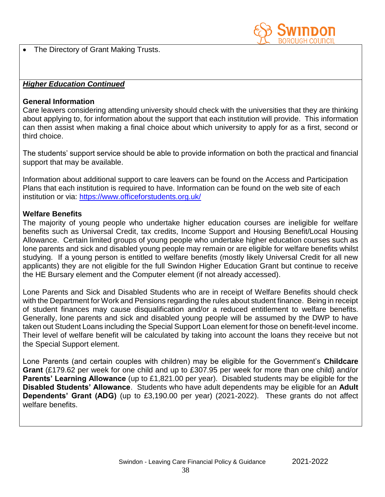The Directory of Grant Making Trusts.



#### *Higher Education Continued*

#### **General Information**

Care leavers considering attending university should check with the universities that they are thinking about applying to, for information about the support that each institution will provide. This information can then assist when making a final choice about which university to apply for as a first, second or third choice.

The students' support service should be able to provide information on both the practical and financial support that may be available.

Information about additional support to care leavers can be found on the Access and Participation Plans that each institution is required to have. Information can be found on the web site of each institution or via:<https://www.officeforstudents.org.uk/>

#### **Welfare Benefits**

The majority of young people who undertake higher education courses are ineligible for welfare benefits such as Universal Credit, tax credits, Income Support and Housing Benefit/Local Housing Allowance. Certain limited groups of young people who undertake higher education courses such as lone parents and sick and disabled young people may remain or are eligible for welfare benefits whilst studying. If a young person is entitled to welfare benefits (mostly likely Universal Credit for all new applicants) they are not eligible for the full Swindon Higher Education Grant but continue to receive the HE Bursary element and the Computer element (if not already accessed).

Lone Parents and Sick and Disabled Students who are in receipt of Welfare Benefits should check with the Department for Work and Pensions regarding the rules about student finance. Being in receipt of student finances may cause disqualification and/or a reduced entitlement to welfare benefits. Generally, lone parents and sick and disabled young people will be assumed by the DWP to have taken out Student Loans including the Special Support Loan element for those on benefit-level income. Their level of welfare benefit will be calculated by taking into account the loans they receive but not the Special Support element.

Lone Parents (and certain couples with children) may be eligible for the Government's **Childcare Grant** (£179.62 per week for one child and up to £307.95 per week for more than one child) and/or **Parents' Learning Allowance** (up to £1,821.00 per year). Disabled students may be eligible for the **Disabled Students' Allowance**. Students who have adult dependents may be eligible for an **Adult Dependents' Grant (ADG)** (up to £3,190.00 per year) (2021-2022). These grants do not affect welfare benefits.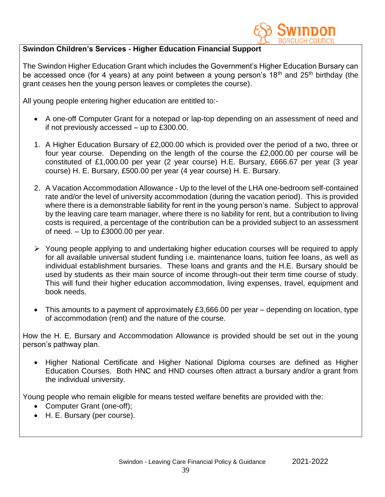

#### **Swindon Children's Services - Higher Education Financial Support**

The Swindon Higher Education Grant which includes the Government's Higher Education Bursary can be accessed once (for 4 years) at any point between a young person's  $18<sup>th</sup>$  and  $25<sup>th</sup>$  birthday (the grant ceases hen the young person leaves or completes the course).

All young people entering higher education are entitled to:-

- A one-off Computer Grant for a notepad or lap-top depending on an assessment of need and if not previously accessed – up to £300.00.
- 1. A Higher Education Bursary of £2,000.00 which is provided over the period of a two, three or four year course. Depending on the length of the course the £2,000.00 per course will be constituted of £1,000.00 per year (2 year course) H.E. Bursary, £666.67 per year (3 year course) H. E. Bursary, £500.00 per year (4 year course) H. E. Bursary.
- 2. A Vacation Accommodation Allowance Up to the level of the LHA one-bedroom self-contained rate and/or the level of university accommodation (during the vacation period). This is provided where there is a demonstrable liability for rent in the young person's name. Subject to approval by the leaving care team manager, where there is no liability for rent, but a contribution to living costs is required, a percentage of the contribution can be a provided subject to an assessment of need. – Up to £3000.00 per year.
- $\triangleright$  Young people applying to and undertaking higher education courses will be required to apply for all available universal student funding i.e. maintenance loans, tuition fee loans, as well as individual establishment bursaries. These loans and grants and the H.E. Bursary should be used by students as their main source of income through-out their term time course of study. This will fund their higher education accommodation, living expenses, travel, equipment and book needs.
- This amounts to a payment of approximately £3,666.00 per year depending on location, type of accommodation (rent) and the nature of the course.

How the H. E. Bursary and Accommodation Allowance is provided should be set out in the young person's pathway plan.

• Higher National Certificate and Higher National Diploma courses are defined as Higher Education Courses. Both HNC and HND courses often attract a bursary and/or a grant from the individual university.

Young people who remain eligible for means tested welfare benefits are provided with the:

- Computer Grant (one-off);
- H. E. Bursary (per course).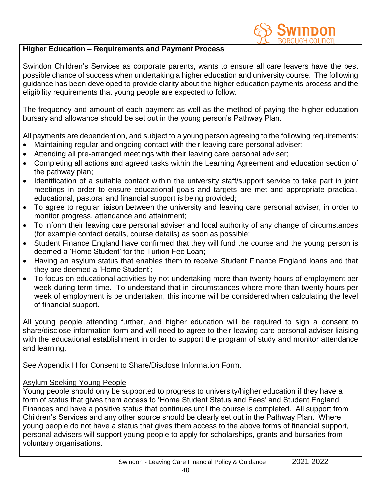

#### **Higher Education – Requirements and Payment Process**

Swindon Children's Services as corporate parents, wants to ensure all care leavers have the best possible chance of success when undertaking a higher education and university course. The following guidance has been developed to provide clarity about the higher education payments process and the eligibility requirements that young people are expected to follow.

The frequency and amount of each payment as well as the method of paying the higher education bursary and allowance should be set out in the young person's Pathway Plan.

All payments are dependent on, and subject to a young person agreeing to the following requirements:

- Maintaining regular and ongoing contact with their leaving care personal adviser;
- Attending all pre-arranged meetings with their leaving care personal adviser;
- Completing all actions and agreed tasks within the Learning Agreement and education section of the pathway plan;
- Identification of a suitable contact within the university staff/support service to take part in joint meetings in order to ensure educational goals and targets are met and appropriate practical, educational, pastoral and financial support is being provided;
- To agree to regular liaison between the university and leaving care personal adviser, in order to monitor progress, attendance and attainment;
- To inform their leaving care personal adviser and local authority of any change of circumstances (for example contact details, course details) as soon as possible;
- Student Finance England have confirmed that they will fund the course and the young person is deemed a 'Home Student' for the Tuition Fee Loan;
- Having an asylum status that enables them to receive Student Finance England loans and that they are deemed a 'Home Student';
- To focus on educational activities by not undertaking more than twenty hours of employment per week during term time. To understand that in circumstances where more than twenty hours per week of employment is be undertaken, this income will be considered when calculating the level of financial support.

All young people attending further, and higher education will be required to sign a consent to share/disclose information form and will need to agree to their leaving care personal adviser liaising with the educational establishment in order to support the program of study and monitor attendance and learning.

See Appendix H for Consent to Share/Disclose Information Form.

### Asylum Seeking Young People

Young people should only be supported to progress to university/higher education if they have a form of status that gives them access to 'Home Student Status and Fees' and Student England Finances and have a positive status that continues until the course is completed. All support from Children's Services and any other source should be clearly set out in the Pathway Plan. Where young people do not have a status that gives them access to the above forms of financial support, personal advisers will support young people to apply for scholarships, grants and bursaries from voluntary organisations.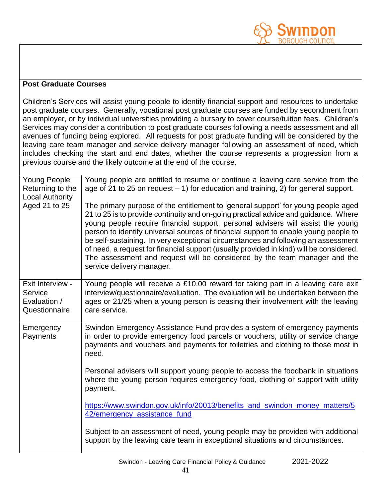

### **Post Graduate Courses**

Children's Services will assist young people to identify financial support and resources to undertake post graduate courses. Generally, vocational post graduate courses are funded by secondment from an employer, or by individual universities providing a bursary to cover course/tuition fees. Children's Services may consider a contribution to post graduate courses following a needs assessment and all avenues of funding being explored. All requests for post graduate funding will be considered by the leaving care team manager and service delivery manager following an assessment of need, which includes checking the start and end dates, whether the course represents a progression from a previous course and the likely outcome at the end of the course.

| <b>Young People</b><br>Returning to the<br><b>Local Authority</b> | Young people are entitled to resume or continue a leaving care service from the<br>age of 21 to 25 on request $-1$ ) for education and training, 2) for general support.                                                                                                                                                                                                                                                                                                                                                                                                                                                                     |
|-------------------------------------------------------------------|----------------------------------------------------------------------------------------------------------------------------------------------------------------------------------------------------------------------------------------------------------------------------------------------------------------------------------------------------------------------------------------------------------------------------------------------------------------------------------------------------------------------------------------------------------------------------------------------------------------------------------------------|
| Aged 21 to 25                                                     | The primary purpose of the entitlement to 'general support' for young people aged<br>21 to 25 is to provide continuity and on-going practical advice and guidance. Where<br>young people require financial support, personal advisers will assist the young<br>person to identify universal sources of financial support to enable young people to<br>be self-sustaining. In very exceptional circumstances and following an assessment<br>of need, a request for financial support (usually provided in kind) will be considered.<br>The assessment and request will be considered by the team manager and the<br>service delivery manager. |
| Exit Interview -<br>Service<br>Evaluation /<br>Questionnaire      | Young people will receive a £10.00 reward for taking part in a leaving care exit<br>interview/questionnaire/evaluation. The evaluation will be undertaken between the<br>ages or 21/25 when a young person is ceasing their involvement with the leaving<br>care service.                                                                                                                                                                                                                                                                                                                                                                    |
| Emergency<br>Payments                                             | Swindon Emergency Assistance Fund provides a system of emergency payments<br>in order to provide emergency food parcels or vouchers, utility or service charge<br>payments and vouchers and payments for toiletries and clothing to those most in<br>need.                                                                                                                                                                                                                                                                                                                                                                                   |
|                                                                   | Personal advisers will support young people to access the foodbank in situations<br>where the young person requires emergency food, clothing or support with utility<br>payment.                                                                                                                                                                                                                                                                                                                                                                                                                                                             |
|                                                                   | https://www.swindon.gov.uk/info/20013/benefits_and_swindon_money_matters/5<br>42/emergency_assistance_fund                                                                                                                                                                                                                                                                                                                                                                                                                                                                                                                                   |
|                                                                   | Subject to an assessment of need, young people may be provided with additional<br>support by the leaving care team in exceptional situations and circumstances.                                                                                                                                                                                                                                                                                                                                                                                                                                                                              |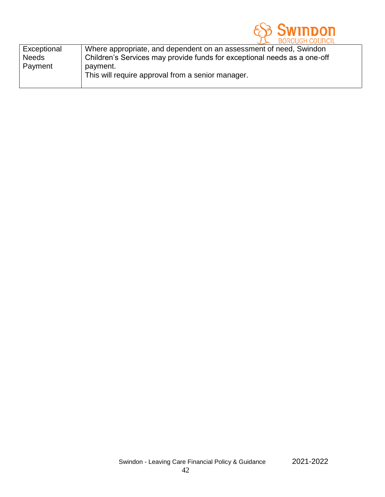

| Exceptional  | Where appropriate, and dependent on an assessment of need, Swindon       |
|--------------|--------------------------------------------------------------------------|
| <b>Needs</b> | Children's Services may provide funds for exceptional needs as a one-off |
| Payment      | payment.                                                                 |
|              | This will require approval from a senior manager.                        |
|              |                                                                          |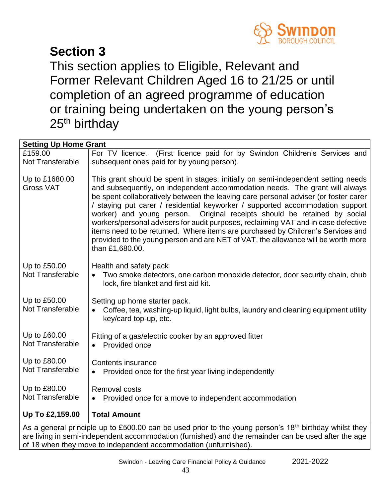

## **Section 3**

This section applies to Eligible, Relevant and Former Relevant Children Aged 16 to 21/25 or until completion of an agreed programme of education or training being undertaken on the young person's 25<sup>th</sup> birthday

| <b>Setting Up Home Grant</b>                                                                                       |                                                                                                                                                                                                                                                                                                                                                                                                                                                                                                                                                                                                                                                                                                        |  |  |
|--------------------------------------------------------------------------------------------------------------------|--------------------------------------------------------------------------------------------------------------------------------------------------------------------------------------------------------------------------------------------------------------------------------------------------------------------------------------------------------------------------------------------------------------------------------------------------------------------------------------------------------------------------------------------------------------------------------------------------------------------------------------------------------------------------------------------------------|--|--|
| £159.00                                                                                                            | For TV licence. (First licence paid for by Swindon Children's Services and                                                                                                                                                                                                                                                                                                                                                                                                                                                                                                                                                                                                                             |  |  |
| Not Transferable                                                                                                   | subsequent ones paid for by young person).                                                                                                                                                                                                                                                                                                                                                                                                                                                                                                                                                                                                                                                             |  |  |
| Up to £1680.00<br><b>Gross VAT</b>                                                                                 | This grant should be spent in stages; initially on semi-independent setting needs<br>and subsequently, on independent accommodation needs. The grant will always<br>be spent collaboratively between the leaving care personal adviser (or foster carer<br>/ staying put carer / residential keyworker / supported accommodation support<br>worker) and young person.  Original receipts should be retained by social<br>workers/personal advisers for audit purposes, reclaiming VAT and in case defective<br>items need to be returned. Where items are purchased by Children's Services and<br>provided to the young person and are NET of VAT, the allowance will be worth more<br>than £1,680.00. |  |  |
| Up to £50.00<br>Not Transferable                                                                                   | Health and safety pack<br>Two smoke detectors, one carbon monoxide detector, door security chain, chub<br>$\bullet$<br>lock, fire blanket and first aid kit.                                                                                                                                                                                                                                                                                                                                                                                                                                                                                                                                           |  |  |
| Up to £50.00<br>Not Transferable                                                                                   | Setting up home starter pack.<br>Coffee, tea, washing-up liquid, light bulbs, laundry and cleaning equipment utility<br>$\bullet$<br>key/card top-up, etc.                                                                                                                                                                                                                                                                                                                                                                                                                                                                                                                                             |  |  |
| Up to £60.00<br><b>Not Transferable</b>                                                                            | Fitting of a gas/electric cooker by an approved fitter<br>Provided once<br>$\bullet$                                                                                                                                                                                                                                                                                                                                                                                                                                                                                                                                                                                                                   |  |  |
| Up to £80.00<br>Not Transferable                                                                                   | Contents insurance<br>Provided once for the first year living independently<br>$\bullet$                                                                                                                                                                                                                                                                                                                                                                                                                                                                                                                                                                                                               |  |  |
| Up to £80.00<br>Not Transferable                                                                                   | Removal costs<br>• Provided once for a move to independent accommodation                                                                                                                                                                                                                                                                                                                                                                                                                                                                                                                                                                                                                               |  |  |
| Up To £2,159.00<br><b>Total Amount</b>                                                                             |                                                                                                                                                                                                                                                                                                                                                                                                                                                                                                                                                                                                                                                                                                        |  |  |
| As a general principle up to £500.00 can be used prior to the young person's 18 <sup>th</sup> birthday whilst they |                                                                                                                                                                                                                                                                                                                                                                                                                                                                                                                                                                                                                                                                                                        |  |  |

are living in semi-independent accommodation (furnished) and the remainder can be used after the age of 18 when they move to independent accommodation (unfurnished).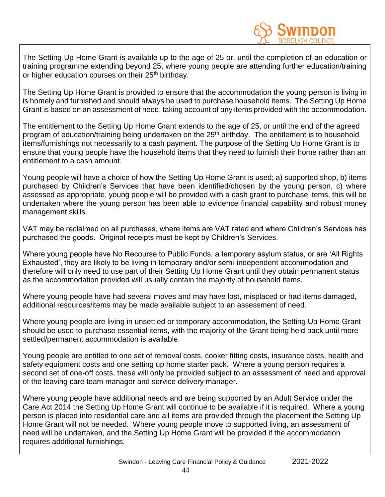

The Setting Up Home Grant is available up to the age of 25 or, until the completion of an education or training programme extending beyond 25, where young people are attending further education/training or higher education courses on their 25<sup>th</sup> birthday.

The Setting Up Home Grant is provided to ensure that the accommodation the young person is living in is homely and furnished and should always be used to purchase household items. The Setting Up Home Grant is based on an assessment of need, taking account of any items provided with the accommodation.

The entitlement to the Setting Up Home Grant extends to the age of 25, or until the end of the agreed program of education/training being undertaken on the 25<sup>th</sup> birthday. The entitlement is to household items/furnishings not necessarily to a cash payment. The purpose of the Setting Up Home Grant is to ensure that young people have the household items that they need to furnish their home rather than an entitlement to a cash amount.

Young people will have a choice of how the Setting Up Home Grant is used; a) supported shop, b) items purchased by Children's Services that have been identified/chosen by the young person, c) where assessed as appropriate, young people will be provided with a cash grant to purchase items, this will be undertaken where the young person has been able to evidence financial capability and robust money management skills.

VAT may be reclaimed on all purchases, where items are VAT rated and where Children's Services has purchased the goods. Original receipts must be kept by Children's Services.

Where young people have No Recourse to Public Funds, a temporary asylum status, or are 'All Rights Exhausted', they are likely to be living in temporary and/or semi-independent accommodation and therefore will only need to use part of their Setting Up Home Grant until they obtain permanent status as the accommodation provided will usually contain the majority of household items.

Where young people have had several moves and may have lost, misplaced or had items damaged, additional resources/items may be made available subject to an assessment of need.

Where young people are living in unsettled or temporary accommodation, the Setting Up Home Grant should be used to purchase essential items, with the majority of the Grant being held back until more settled/permanent accommodation is available.

Young people are entitled to one set of removal costs, cooker fitting costs, insurance costs, health and safety equipment costs and one setting up home starter pack. Where a young person requires a second set of one-off costs, these will only be provided subject to an assessment of need and approval of the leaving care team manager and service delivery manager.

Where young people have additional needs and are being supported by an Adult Service under the Care Act 2014 the Setting Up Home Grant will continue to be available if it is required. Where a young person is placed into residential care and all items are provided through the placement the Setting Up Home Grant will not be needed. Where young people move to supported living, an assessment of need will be undertaken, and the Setting Up Home Grant will be provided if the accommodation requires additional furnishings.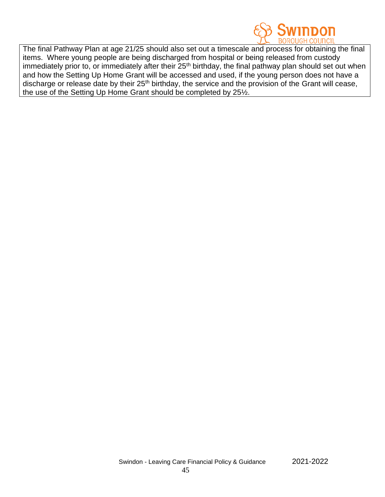

The final Pathway Plan at age 21/25 should also set out a timescale and process for obtaining the final items. Where young people are being discharged from hospital or being released from custody immediately prior to, or immediately after their 25<sup>th</sup> birthday, the final pathway plan should set out when and how the Setting Up Home Grant will be accessed and used, if the young person does not have a discharge or release date by their 25<sup>th</sup> birthday, the service and the provision of the Grant will cease, the use of the Setting Up Home Grant should be completed by 25½.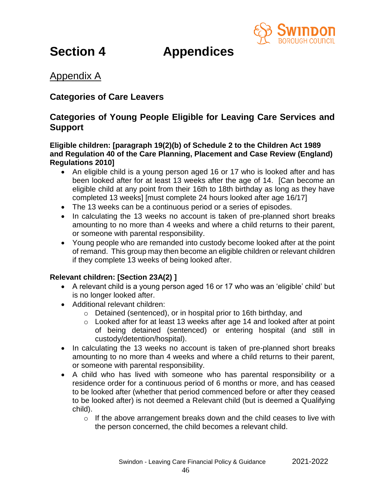

## **Section 4 Appendices**

### Appendix A

### **Categories of Care Leavers**

### **Categories of Young People Eligible for Leaving Care Services and Support**

#### **Eligible children: [paragraph 19(2)(b) of Schedule 2 to the Children Act 1989 and Regulation 40 of the Care Planning, Placement and Case Review (England) Regulations 2010]**

- An eligible child is a young person aged 16 or 17 who is looked after and has been looked after for at least 13 weeks after the age of 14. [Can become an eligible child at any point from their 16th to 18th birthday as long as they have completed 13 weeks] [must complete 24 hours looked after age 16/17]
- The 13 weeks can be a continuous period or a series of episodes.
- In calculating the 13 weeks no account is taken of pre-planned short breaks amounting to no more than 4 weeks and where a child returns to their parent, or someone with parental responsibility.
- Young people who are remanded into custody become looked after at the point of remand. This group may then become an eligible children or relevant children if they complete 13 weeks of being looked after.

### **Relevant children: [Section 23A(2) ]**

- A relevant child is a young person aged 16 or 17 who was an 'eligible' child' but is no longer looked after.
- Additional relevant children:
	- o Detained (sentenced), or in hospital prior to 16th birthday, and
	- o Looked after for at least 13 weeks after age 14 and looked after at point of being detained (sentenced) or entering hospital (and still in custody/detention/hospital).
- In calculating the 13 weeks no account is taken of pre-planned short breaks amounting to no more than 4 weeks and where a child returns to their parent, or someone with parental responsibility.
- A child who has lived with someone who has parental responsibility or a residence order for a continuous period of 6 months or more, and has ceased to be looked after (whether that period commenced before or after they ceased to be looked after) is not deemed a Relevant child (but is deemed a Qualifying child).
	- $\circ$  If the above arrangement breaks down and the child ceases to live with the person concerned, the child becomes a relevant child.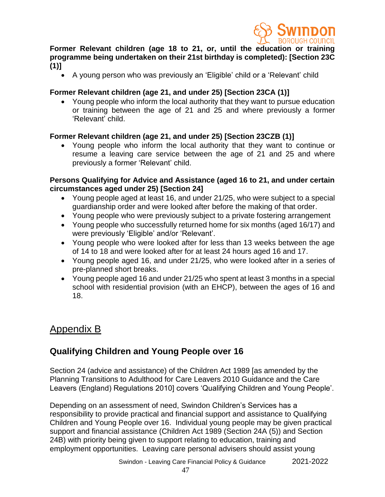

**Former Relevant children (age 18 to 21, or, until the education or training programme being undertaken on their 21st birthday is completed): [Section 23C (1)]** 

A young person who was previously an 'Eligible' child or a 'Relevant' child

### **Former Relevant children (age 21, and under 25) [Section 23CA (1)]**

 Young people who inform the local authority that they want to pursue education or training between the age of 21 and 25 and where previously a former 'Relevant' child.

### **Former Relevant children (age 21, and under 25) [Section 23CZB (1)]**

 Young people who inform the local authority that they want to continue or resume a leaving care service between the age of 21 and 25 and where previously a former 'Relevant' child.

#### **Persons Qualifying for Advice and Assistance (aged 16 to 21, and under certain circumstances aged under 25) [Section 24]**

- Young people aged at least 16, and under 21/25, who were subject to a special guardianship order and were looked after before the making of that order.
- Young people who were previously subject to a private fostering arrangement
- Young people who successfully returned home for six months (aged 16/17) and were previously 'Eligible' and/or 'Relevant'.
- Young people who were looked after for less than 13 weeks between the age of 14 to 18 and were looked after for at least 24 hours aged 16 and 17.
- Young people aged 16, and under 21/25, who were looked after in a series of pre-planned short breaks.
- Young people aged 16 and under 21/25 who spent at least 3 months in a special school with residential provision (with an EHCP), between the ages of 16 and 18.

### Appendix B

### **Qualifying Children and Young People over 16**

Section 24 (advice and assistance) of the Children Act 1989 [as amended by the Planning Transitions to Adulthood for Care Leavers 2010 Guidance and the Care Leavers (England) Regulations 2010] covers 'Qualifying Children and Young People'.

Depending on an assessment of need, Swindon Children's Services has a responsibility to provide practical and financial support and assistance to Qualifying Children and Young People over 16. Individual young people may be given practical support and financial assistance (Children Act 1989 (Section 24A (5)) and Section 24B) with priority being given to support relating to education, training and employment opportunities. Leaving care personal advisers should assist young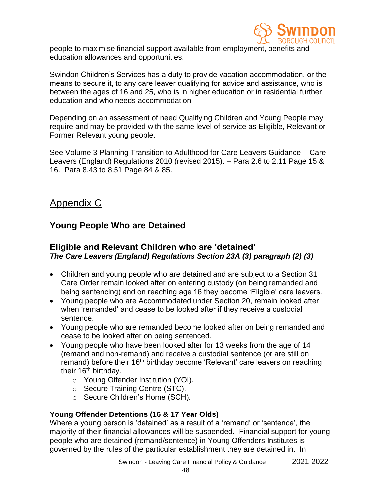

people to maximise financial support available from employment, benefits and education allowances and opportunities.

Swindon Children's Services has a duty to provide vacation accommodation, or the means to secure it, to any care leaver qualifying for advice and assistance, who is between the ages of 16 and 25, who is in higher education or in residential further education and who needs accommodation.

Depending on an assessment of need Qualifying Children and Young People may require and may be provided with the same level of service as Eligible, Relevant or Former Relevant young people.

See Volume 3 Planning Transition to Adulthood for Care Leavers Guidance – Care Leavers (England) Regulations 2010 (revised 2015). – Para 2.6 to 2.11 Page 15 & 16. Para 8.43 to 8.51 Page 84 & 85.

### Appendix C

### **Young People Who are Detained**

### **Eligible and Relevant Children who are 'detained'** *The Care Leavers (England) Regulations Section 23A (3) paragraph (2) (3)*

- Children and young people who are detained and are subject to a Section 31 Care Order remain looked after on entering custody (on being remanded and being sentencing) and on reaching age 16 they become 'Eligible' care leavers.
- Young people who are Accommodated under Section 20, remain looked after when 'remanded' and cease to be looked after if they receive a custodial sentence.
- Young people who are remanded become looked after on being remanded and cease to be looked after on being sentenced.
- Young people who have been looked after for 13 weeks from the age of 14 (remand and non-remand) and receive a custodial sentence (or are still on remand) before their 16<sup>th</sup> birthday become 'Relevant' care leavers on reaching their 16<sup>th</sup> birthday.
	- o Young Offender Institution (YOI).
	- o Secure Training Centre (STC).
	- o Secure Children's Home (SCH).

### **Young Offender Detentions (16 & 17 Year Olds)**

Where a young person is 'detained' as a result of a 'remand' or 'sentence', the majority of their financial allowances will be suspended. Financial support for young people who are detained (remand/sentence) in Young Offenders Institutes is governed by the rules of the particular establishment they are detained in. In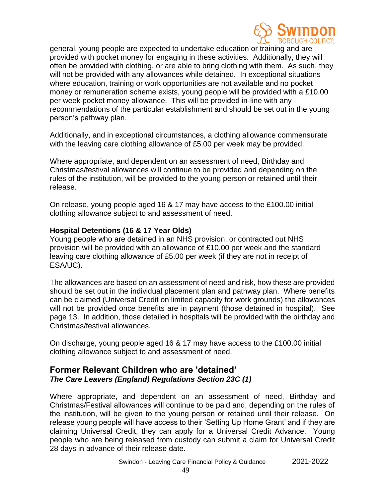

general, young people are expected to undertake education or training and are provided with pocket money for engaging in these activities. Additionally, they will often be provided with clothing, or are able to bring clothing with them. As such, they will not be provided with any allowances while detained. In exceptional situations where education, training or work opportunities are not available and no pocket money or remuneration scheme exists, young people will be provided with a £10.00 per week pocket money allowance. This will be provided in-line with any recommendations of the particular establishment and should be set out in the young person's pathway plan.

Additionally, and in exceptional circumstances, a clothing allowance commensurate with the leaving care clothing allowance of £5.00 per week may be provided.

Where appropriate, and dependent on an assessment of need, Birthday and Christmas/festival allowances will continue to be provided and depending on the rules of the institution, will be provided to the young person or retained until their release.

On release, young people aged 16 & 17 may have access to the £100.00 initial clothing allowance subject to and assessment of need.

#### **Hospital Detentions (16 & 17 Year Olds)**

Young people who are detained in an NHS provision, or contracted out NHS provision will be provided with an allowance of £10.00 per week and the standard leaving care clothing allowance of £5.00 per week (if they are not in receipt of ESA/UC).

The allowances are based on an assessment of need and risk, how these are provided should be set out in the individual placement plan and pathway plan. Where benefits can be claimed (Universal Credit on limited capacity for work grounds) the allowances will not be provided once benefits are in payment (those detained in hospital). See page 13. In addition, those detailed in hospitals will be provided with the birthday and Christmas/festival allowances.

On discharge, young people aged 16 & 17 may have access to the £100.00 initial clothing allowance subject to and assessment of need.

### **Former Relevant Children who are 'detained'** *The Care Leavers (England) Regulations Section 23C (1)*

Where appropriate, and dependent on an assessment of need, Birthday and Christmas/Festival allowances will continue to be paid and, depending on the rules of the institution, will be given to the young person or retained until their release. On release young people will have access to their 'Setting Up Home Grant' and if they are claiming Universal Credit, they can apply for a Universal Credit Advance. Young people who are being released from custody can submit a claim for Universal Credit 28 days in advance of their release date.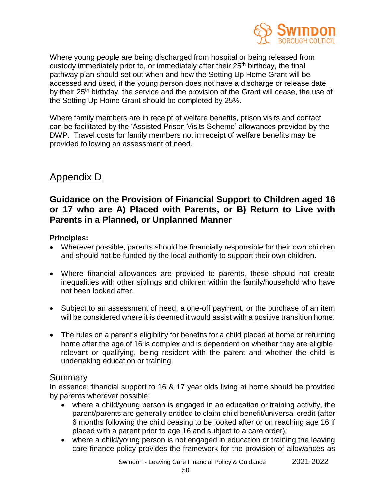

Where young people are being discharged from hospital or being released from custody immediately prior to, or immediately after their 25<sup>th</sup> birthday, the final pathway plan should set out when and how the Setting Up Home Grant will be accessed and used, if the young person does not have a discharge or release date by their 25<sup>th</sup> birthday, the service and the provision of the Grant will cease, the use of the Setting Up Home Grant should be completed by 25½.

Where family members are in receipt of welfare benefits, prison visits and contact can be facilitated by the 'Assisted Prison Visits Scheme' allowances provided by the DWP. Travel costs for family members not in receipt of welfare benefits may be provided following an assessment of need.

### Appendix D

### **Guidance on the Provision of Financial Support to Children aged 16 or 17 who are A) Placed with Parents, or B) Return to Live with Parents in a Planned, or Unplanned Manner**

#### **Principles:**

- Wherever possible, parents should be financially responsible for their own children and should not be funded by the local authority to support their own children.
- Where financial allowances are provided to parents, these should not create inequalities with other siblings and children within the family/household who have not been looked after.
- Subject to an assessment of need, a one-off payment, or the purchase of an item will be considered where it is deemed it would assist with a positive transition home.
- The rules on a parent's eligibility for benefits for a child placed at home or returning home after the age of 16 is complex and is dependent on whether they are eligible, relevant or qualifying, being resident with the parent and whether the child is undertaking education or training.

### Summary

In essence, financial support to 16 & 17 year olds living at home should be provided by parents wherever possible:

- where a child/young person is engaged in an education or training activity, the parent/parents are generally entitled to claim child benefit/universal credit (after 6 months following the child ceasing to be looked after or on reaching age 16 if placed with a parent prior to age 16 and subject to a care order);
- where a child/young person is not engaged in education or training the leaving care finance policy provides the framework for the provision of allowances as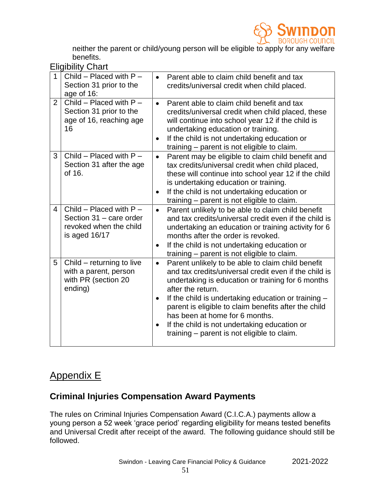

neither the parent or child/young person will be eligible to apply for any welfare benefits.

### Eligibility Chart

| $\mathbf{1}$   | Child - Placed with $P -$<br>Section 31 prior to the<br>age of 16:                               | Parent able to claim child benefit and tax<br>$\bullet$<br>credits/universal credit when child placed.                                                                                                                                                                                                                                                                                                                                                         |
|----------------|--------------------------------------------------------------------------------------------------|----------------------------------------------------------------------------------------------------------------------------------------------------------------------------------------------------------------------------------------------------------------------------------------------------------------------------------------------------------------------------------------------------------------------------------------------------------------|
| $\overline{2}$ | Child - Placed with $\overline{P}$ -<br>Section 31 prior to the<br>age of 16, reaching age<br>16 | Parent able to claim child benefit and tax<br>$\bullet$<br>credits/universal credit when child placed, these<br>will continue into school year 12 if the child is<br>undertaking education or training.<br>If the child is not undertaking education or<br>$\bullet$<br>training - parent is not eligible to claim.                                                                                                                                            |
| 3              | Child - Placed with $P -$<br>Section 31 after the age<br>of 16.                                  | Parent may be eligible to claim child benefit and<br>$\bullet$<br>tax credits/universal credit when child placed,<br>these will continue into school year 12 if the child<br>is undertaking education or training.<br>If the child is not undertaking education or<br>٠<br>training - parent is not eligible to claim.                                                                                                                                         |
| 4              | Child - Placed with $P -$<br>Section 31 - care order<br>revoked when the child<br>is aged 16/17  | Parent unlikely to be able to claim child benefit<br>$\bullet$<br>and tax credits/universal credit even if the child is<br>undertaking an education or training activity for 6<br>months after the order is revoked.<br>If the child is not undertaking education or<br>$\bullet$<br>training - parent is not eligible to claim.                                                                                                                               |
| 5              | Child - returning to live<br>with a parent, person<br>with PR (section 20<br>ending)             | Parent unlikely to be able to claim child benefit<br>$\bullet$<br>and tax credits/universal credit even if the child is<br>undertaking is education or training for 6 months<br>after the return.<br>If the child is undertaking education or training -<br>$\bullet$<br>parent is eligible to claim benefits after the child<br>has been at home for 6 months.<br>If the child is not undertaking education or<br>training - parent is not eligible to claim. |

### Appendix E

### **Criminal Injuries Compensation Award Payments**

The rules on Criminal Injuries Compensation Award (C.I.C.A.) payments allow a young person a 52 week 'grace period' regarding eligibility for means tested benefits and Universal Credit after receipt of the award. The following guidance should still be followed.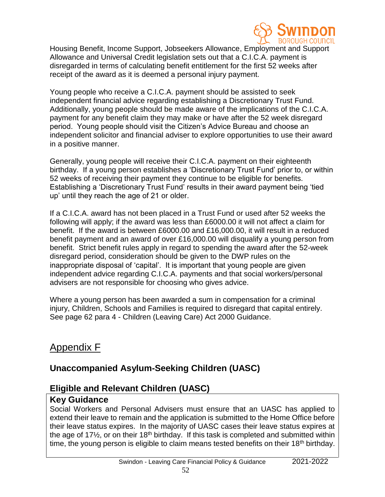

Housing Benefit, Income Support, Jobseekers Allowance, Employment and Support Allowance and Universal Credit legislation sets out that a C.I.C.A. payment is disregarded in terms of calculating benefit entitlement for the first 52 weeks after receipt of the award as it is deemed a personal injury payment.

Young people who receive a C.I.C.A. payment should be assisted to seek independent financial advice regarding establishing a Discretionary Trust Fund. Additionally, young people should be made aware of the implications of the C.I.C.A. payment for any benefit claim they may make or have after the 52 week disregard period. Young people should visit the Citizen's Advice Bureau and choose an independent solicitor and financial adviser to explore opportunities to use their award in a positive manner.

Generally, young people will receive their C.I.C.A. payment on their eighteenth birthday. If a young person establishes a 'Discretionary Trust Fund' prior to, or within 52 weeks of receiving their payment they continue to be eligible for benefits. Establishing a 'Discretionary Trust Fund' results in their award payment being 'tied up' until they reach the age of 21 or older.

If a C.I.C.A. award has not been placed in a Trust Fund or used after 52 weeks the following will apply; if the award was less than £6000.00 it will not affect a claim for benefit. If the award is between £6000.00 and £16,000.00, it will result in a reduced benefit payment and an award of over £16,000.00 will disqualify a young person from benefit. Strict benefit rules apply in regard to spending the award after the 52-week disregard period, consideration should be given to the DWP rules on the inappropriate disposal of 'capital'. It is important that young people are given independent advice regarding C.I.C.A. payments and that social workers/personal advisers are not responsible for choosing who gives advice.

Where a young person has been awarded a sum in compensation for a criminal injury, Children, Schools and Families is required to disregard that capital entirely. See page 62 para 4 - Children (Leaving Care) Act 2000 Guidance.

### Appendix F

### **Unaccompanied Asylum-Seeking Children (UASC)**

### **Eligible and Relevant Children (UASC)**

### **Key Guidance**

Social Workers and Personal Advisers must ensure that an UASC has applied to extend their leave to remain and the application is submitted to the Home Office before their leave status expires. In the majority of UASC cases their leave status expires at the age of  $17\frac{1}{2}$ , or on their  $18<sup>th</sup>$  birthday. If this task is completed and submitted within time, the young person is eligible to claim means tested benefits on their 18<sup>th</sup> birthday.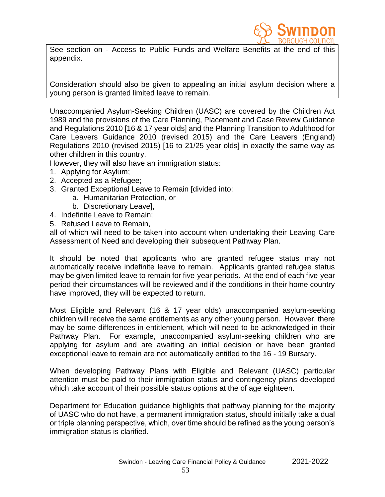

See section on - Access to Public Funds and Welfare Benefits at the end of this appendix.

Consideration should also be given to appealing an initial asylum decision where a young person is granted limited leave to remain.

Unaccompanied Asylum-Seeking Children (UASC) are covered by the Children Act 1989 and the provisions of the Care Planning, Placement and Case Review Guidance and Regulations 2010 [16 & 17 year olds] and the Planning Transition to Adulthood for Care Leavers Guidance 2010 (revised 2015) and the Care Leavers (England) Regulations 2010 (revised 2015) [16 to 21/25 year olds] in exactly the same way as other children in this country.

However, they will also have an immigration status:

- 1. Applying for Asylum;
- 2. Accepted as a Refugee;
- 3. Granted Exceptional Leave to Remain [divided into:
	- a. Humanitarian Protection, or
	- b. Discretionary Leave],
- 4. Indefinite Leave to Remain;
- 5. Refused Leave to Remain,

all of which will need to be taken into account when undertaking their Leaving Care Assessment of Need and developing their subsequent Pathway Plan.

It should be noted that applicants who are granted refugee status may not automatically receive indefinite leave to remain. Applicants granted refugee status may be given limited leave to remain for five-year periods. At the end of each five-year period their circumstances will be reviewed and if the conditions in their home country have improved, they will be expected to return.

Most Eligible and Relevant (16 & 17 year olds) unaccompanied asylum-seeking children will receive the same entitlements as any other young person. However, there may be some differences in entitlement, which will need to be acknowledged in their Pathway Plan. For example, unaccompanied asylum-seeking children who are applying for asylum and are awaiting an initial decision or have been granted exceptional leave to remain are not automatically entitled to the 16 - 19 Bursary.

When developing Pathway Plans with Eligible and Relevant (UASC) particular attention must be paid to their immigration status and contingency plans developed which take account of their possible status options at the of age eighteen.

Department for Education guidance highlights that pathway planning for the majority of UASC who do not have, a permanent immigration status, should initially take a dual or triple planning perspective, which, over time should be refined as the young person's immigration status is clarified.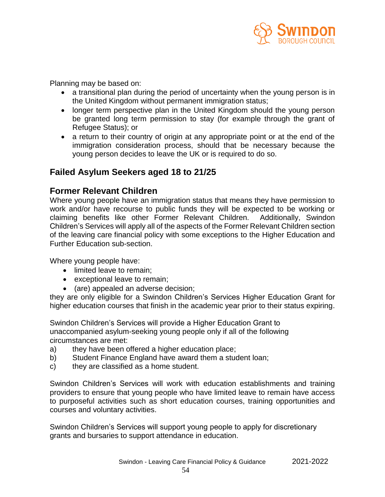

Planning may be based on:

- a transitional plan during the period of uncertainty when the young person is in the United Kingdom without permanent immigration status;
- longer term perspective plan in the United Kingdom should the young person be granted long term permission to stay (for example through the grant of Refugee Status); or
- a return to their country of origin at any appropriate point or at the end of the immigration consideration process, should that be necessary because the young person decides to leave the UK or is required to do so.

### **Failed Asylum Seekers aged 18 to 21/25**

### **Former Relevant Children**

Where young people have an immigration status that means they have permission to work and/or have recourse to public funds they will be expected to be working or claiming benefits like other Former Relevant Children. Additionally, Swindon Children's Services will apply all of the aspects of the Former Relevant Children section of the leaving care financial policy with some exceptions to the Higher Education and Further Education sub-section.

Where young people have:

- limited leave to remain:
- exceptional leave to remain;
- (are) appealed an adverse decision;

they are only eligible for a Swindon Children's Services Higher Education Grant for higher education courses that finish in the academic year prior to their status expiring.

Swindon Children's Services will provide a Higher Education Grant to unaccompanied asylum-seeking young people only if all of the following circumstances are met:

- a) they have been offered a higher education place;
- b) Student Finance England have award them a student loan;
- c) they are classified as a home student.

Swindon Children's Services will work with education establishments and training providers to ensure that young people who have limited leave to remain have access to purposeful activities such as short education courses, training opportunities and courses and voluntary activities.

Swindon Children's Services will support young people to apply for discretionary grants and bursaries to support attendance in education.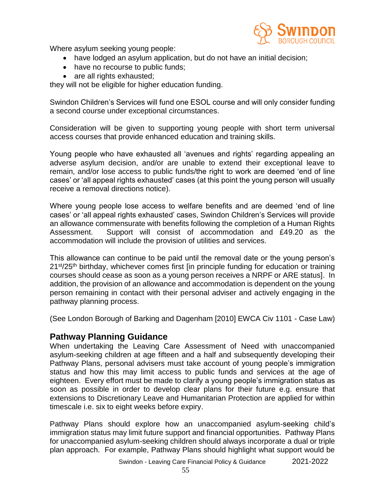

Where asylum seeking young people:

- have lodged an asylum application, but do not have an initial decision;
- have no recourse to public funds;
- are all rights exhausted;

they will not be eligible for higher education funding.

Swindon Children's Services will fund one ESOL course and will only consider funding a second course under exceptional circumstances.

Consideration will be given to supporting young people with short term universal access courses that provide enhanced education and training skills.

Young people who have exhausted all 'avenues and rights' regarding appealing an adverse asylum decision, and/or are unable to extend their exceptional leave to remain, and/or lose access to public funds/the right to work are deemed 'end of line cases' or 'all appeal rights exhausted' cases (at this point the young person will usually receive a removal directions notice).

Where young people lose access to welfare benefits and are deemed 'end of line cases' or 'all appeal rights exhausted' cases, Swindon Children's Services will provide an allowance commensurate with benefits following the completion of a Human Rights Assessment. Support will consist of accommodation and £49.20 as the accommodation will include the provision of utilities and services.

This allowance can continue to be paid until the removal date or the young person's 21<sup>st</sup>/25<sup>th</sup> birthday, whichever comes first [in principle funding for education or training courses should cease as soon as a young person receives a NRPF or ARE status]. In addition, the provision of an allowance and accommodation is dependent on the young person remaining in contact with their personal adviser and actively engaging in the pathway planning process.

(See London Borough of Barking and Dagenham [2010] EWCA Civ 1101 - Case Law)

### **Pathway Planning Guidance**

When undertaking the Leaving Care Assessment of Need with unaccompanied asylum-seeking children at age fifteen and a half and subsequently developing their Pathway Plans, personal advisers must take account of young people's immigration status and how this may limit access to public funds and services at the age of eighteen. Every effort must be made to clarify a young people's immigration status as soon as possible in order to develop clear plans for their future e.g. ensure that extensions to Discretionary Leave and Humanitarian Protection are applied for within timescale i.e. six to eight weeks before expiry.

Pathway Plans should explore how an unaccompanied asylum-seeking child's immigration status may limit future support and financial opportunities. Pathway Plans for unaccompanied asylum-seeking children should always incorporate a dual or triple plan approach. For example, Pathway Plans should highlight what support would be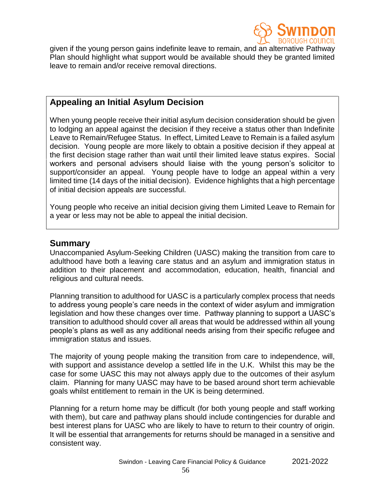

given if the young person gains indefinite leave to remain, and an alternative Pathway Plan should highlight what support would be available should they be granted limited leave to remain and/or receive removal directions.

### **Appealing an Initial Asylum Decision**

When young people receive their initial asylum decision consideration should be given to lodging an appeal against the decision if they receive a status other than Indefinite Leave to Remain/Refugee Status. In effect, Limited Leave to Remain is a failed asylum decision. Young people are more likely to obtain a positive decision if they appeal at the first decision stage rather than wait until their limited leave status expires. Social workers and personal advisers should liaise with the young person's solicitor to support/consider an appeal. Young people have to lodge an appeal within a very limited time (14 days of the initial decision). Evidence highlights that a high percentage of initial decision appeals are successful.

Young people who receive an initial decision giving them Limited Leave to Remain for a year or less may not be able to appeal the initial decision.

### **Summary**

Unaccompanied Asylum-Seeking Children (UASC) making the transition from care to adulthood have both a leaving care status and an asylum and immigration status in addition to their placement and accommodation, education, health, financial and religious and cultural needs.

Planning transition to adulthood for UASC is a particularly complex process that needs to address young people's care needs in the context of wider asylum and immigration legislation and how these changes over time. Pathway planning to support a UASC's transition to adulthood should cover all areas that would be addressed within all young people's plans as well as any additional needs arising from their specific refugee and immigration status and issues.

The majority of young people making the transition from care to independence, will, with support and assistance develop a settled life in the U.K. Whilst this may be the case for some UASC this may not always apply due to the outcomes of their asylum claim. Planning for many UASC may have to be based around short term achievable goals whilst entitlement to remain in the UK is being determined.

Planning for a return home may be difficult (for both young people and staff working with them), but care and pathway plans should include contingencies for durable and best interest plans for UASC who are likely to have to return to their country of origin. It will be essential that arrangements for returns should be managed in a sensitive and consistent way.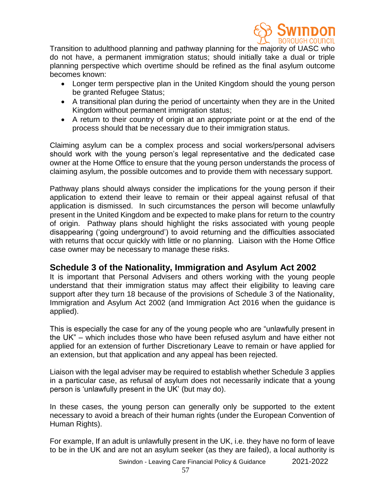

Transition to adulthood planning and pathway planning for the majority of UASC who do not have, a permanent immigration status; should initially take a dual or triple planning perspective which overtime should be refined as the final asylum outcome becomes known:

- Longer term perspective plan in the United Kingdom should the young person be granted Refugee Status;
- A transitional plan during the period of uncertainty when they are in the United Kingdom without permanent immigration status;
- A return to their country of origin at an appropriate point or at the end of the process should that be necessary due to their immigration status.

Claiming asylum can be a complex process and social workers/personal advisers should work with the young person's legal representative and the dedicated case owner at the Home Office to ensure that the young person understands the process of claiming asylum, the possible outcomes and to provide them with necessary support.

Pathway plans should always consider the implications for the young person if their application to extend their leave to remain or their appeal against refusal of that application is dismissed. In such circumstances the person will become unlawfully present in the United Kingdom and be expected to make plans for return to the country of origin. Pathway plans should highlight the risks associated with young people disappearing ('going underground') to avoid returning and the difficulties associated with returns that occur quickly with little or no planning. Liaison with the Home Office case owner may be necessary to manage these risks.

### **Schedule 3 of the Nationality, Immigration and Asylum Act 2002**

It is important that Personal Advisers and others working with the young people understand that their immigration status may affect their eligibility to leaving care support after they turn 18 because of the provisions of Schedule 3 of the Nationality, Immigration and Asylum Act 2002 (and Immigration Act 2016 when the guidance is applied).

This is especially the case for any of the young people who are "unlawfully present in the UK" – which includes those who have been refused asylum and have either not applied for an extension of further Discretionary Leave to remain or have applied for an extension, but that application and any appeal has been rejected.

Liaison with the legal adviser may be required to establish whether Schedule 3 applies in a particular case, as refusal of asylum does not necessarily indicate that a young person is 'unlawfully present in the UK' (but may do).

In these cases, the young person can generally only be supported to the extent necessary to avoid a breach of their human rights (under the European Convention of Human Rights).

For example, If an adult is unlawfully present in the UK, i.e. they have no form of leave to be in the UK and are not an asylum seeker (as they are failed), a local authority is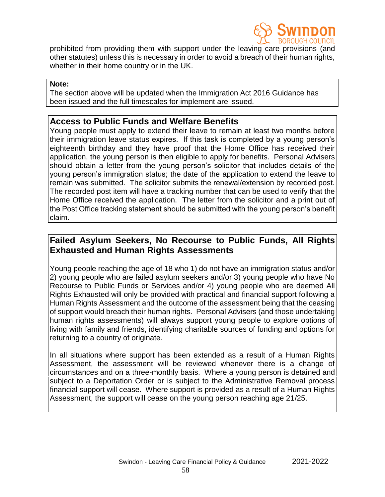

prohibited from providing them with support under the leaving care provisions (and other statutes) unless this is necessary in order to avoid a breach of their human rights, whether in their home country or in the UK.

#### **Note:**

The section above will be updated when the Immigration Act 2016 Guidance has been issued and the full timescales for implement are issued.

### **Access to Public Funds and Welfare Benefits**

Young people must apply to extend their leave to remain at least two months before their immigration leave status expires. If this task is completed by a young person's eighteenth birthday and they have proof that the Home Office has received their application, the young person is then eligible to apply for benefits. Personal Advisers should obtain a letter from the young person's solicitor that includes details of the young person's immigration status; the date of the application to extend the leave to remain was submitted. The solicitor submits the renewal/extension by recorded post. The recorded post item will have a tracking number that can be used to verify that the Home Office received the application. The letter from the solicitor and a print out of the Post Office tracking statement should be submitted with the young person's benefit claim.

### **Failed Asylum Seekers, No Recourse to Public Funds, All Rights Exhausted and Human Rights Assessments**

Young people reaching the age of 18 who 1) do not have an immigration status and/or 2) young people who are failed asylum seekers and/or 3) young people who have No Recourse to Public Funds or Services and/or 4) young people who are deemed All Rights Exhausted will only be provided with practical and financial support following a Human Rights Assessment and the outcome of the assessment being that the ceasing of support would breach their human rights. Personal Advisers (and those undertaking human rights assessments) will always support young people to explore options of living with family and friends, identifying charitable sources of funding and options for returning to a country of originate.

In all situations where support has been extended as a result of a Human Rights Assessment, the assessment will be reviewed whenever there is a change of circumstances and on a three-monthly basis. Where a young person is detained and subject to a Deportation Order or is subject to the Administrative Removal process financial support will cease. Where support is provided as a result of a Human Rights Assessment, the support will cease on the young person reaching age 21/25.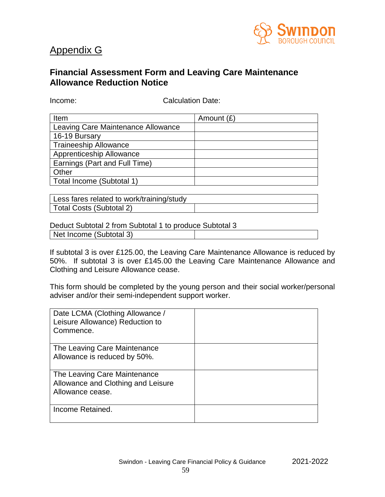

### Appendix G

### **Financial Assessment Form and Leaving Care Maintenance Allowance Reduction Notice**

Income: Calculation Date:

| Item                               | Amount $(E)$ |
|------------------------------------|--------------|
| Leaving Care Maintenance Allowance |              |
| 16-19 Bursary                      |              |
| <b>Traineeship Allowance</b>       |              |
| Apprenticeship Allowance           |              |
| Earnings (Part and Full Time)      |              |
| Other                              |              |
| Total Income (Subtotal 1)          |              |

Less fares related to work/training/study Total Costs (Subtotal 2)

Deduct Subtotal 2 from Subtotal 1 to produce Subtotal 3 Net Income (Subtotal 3)

If subtotal 3 is over £125.00, the Leaving Care Maintenance Allowance is reduced by 50%. If subtotal 3 is over £145.00 the Leaving Care Maintenance Allowance and Clothing and Leisure Allowance cease.

This form should be completed by the young person and their social worker/personal adviser and/or their semi-independent support worker.

| Date LCMA (Clothing Allowance /<br>Leisure Allowance) Reduction to<br>Commence.        |  |
|----------------------------------------------------------------------------------------|--|
| The Leaving Care Maintenance<br>Allowance is reduced by 50%.                           |  |
| The Leaving Care Maintenance<br>Allowance and Clothing and Leisure<br>Allowance cease. |  |
| Income Retained.                                                                       |  |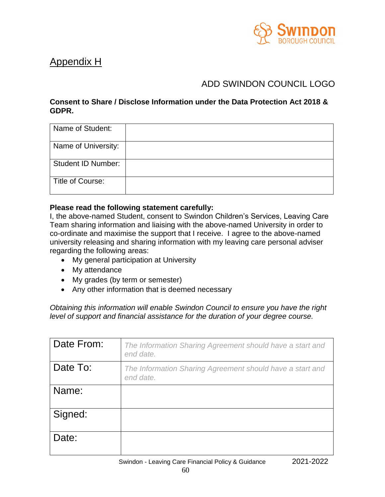

### Appendix H

### ADD SWINDON COUNCIL LOGO

### **Consent to Share / Disclose Information under the Data Protection Act 2018 & GDPR.**

| Name of Student:          |  |
|---------------------------|--|
| Name of University:       |  |
| <b>Student ID Number:</b> |  |
| Title of Course:          |  |

#### **Please read the following statement carefully:**

I, the above-named Student, consent to Swindon Children's Services, Leaving Care Team sharing information and liaising with the above-named University in order to co-ordinate and maximise the support that I receive. I agree to the above-named university releasing and sharing information with my leaving care personal adviser regarding the following areas:

- My general participation at University
- My attendance
- My grades (by term or semester)
- Any other information that is deemed necessary

*Obtaining this information will enable Swindon Council to ensure you have the right level of support and financial assistance for the duration of your degree course.*

| Date From: | The Information Sharing Agreement should have a start and<br>end date. |
|------------|------------------------------------------------------------------------|
| Date To:   | The Information Sharing Agreement should have a start and<br>end date. |
| Name:      |                                                                        |
| Signed:    |                                                                        |
| Date:      |                                                                        |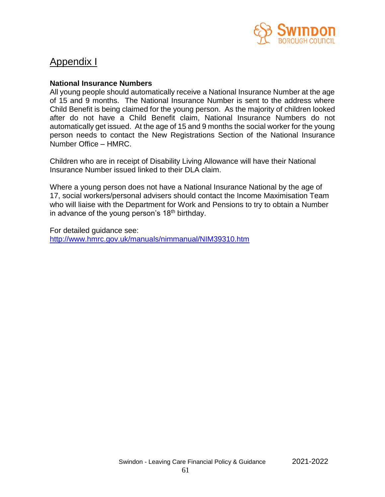

### Appendix I

#### **National Insurance Numbers**

All young people should automatically receive a National Insurance Number at the age of 15 and 9 months. The National Insurance Number is sent to the address where Child Benefit is being claimed for the young person. As the majority of children looked after do not have a Child Benefit claim, National Insurance Numbers do not automatically get issued. At the age of 15 and 9 months the social worker for the young person needs to contact the New Registrations Section of the National Insurance Number Office – HMRC.

Children who are in receipt of Disability Living Allowance will have their National Insurance Number issued linked to their DLA claim.

Where a young person does not have a National Insurance National by the age of 17, social workers/personal advisers should contact the Income Maximisation Team who will liaise with the Department for Work and Pensions to try to obtain a Number in advance of the young person's  $18<sup>th</sup>$  birthday.

For detailed guidance see: <http://www.hmrc.gov.uk/manuals/nimmanual/NIM39310.htm>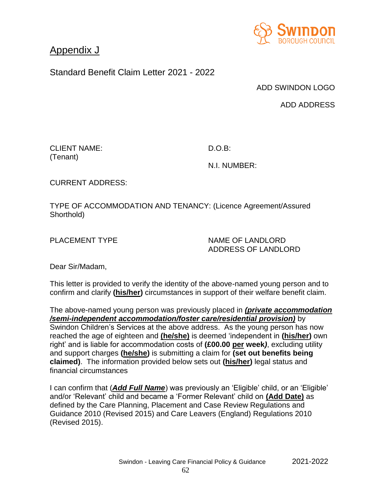



### Standard Benefit Claim Letter 2021 - 2022

ADD SWINDON LOGO

ADD ADDRESS

CLIENT NAME: D.O.B: (Tenant)

N.I. NUMBER:

CURRENT ADDRESS:

TYPE OF ACCOMMODATION AND TENANCY: (Licence Agreement/Assured Shorthold)

PLACEMENT TYPE NAME OF LANDLORD ADDRESS OF LANDLORD

Dear Sir/Madam,

This letter is provided to verify the identity of the above-named young person and to confirm and clarify **(his/her)** circumstances in support of their welfare benefit claim.

The above-named young person was previously placed in *(private accommodation /semi-independent accommodation/foster care/residential provision)* by Swindon Children's Services at the above address. As the young person has now reached the age of eighteen and **(he/she)** is deemed 'independent in **(his/her)** own right' and is liable for accommodation costs of **(£00.00 per week***)*, excluding utility and support charges **(he/she)** is submitting a claim for **(set out benefits being claimed)**. The information provided below sets out **(his/her)** legal status and financial circumstances

I can confirm that (*Add Full Name*) was previously an 'Eligible' child, or an 'Eligible' and/or 'Relevant' child and became a 'Former Relevant' child on **(Add Date)** as defined by the Care Planning, Placement and Case Review Regulations and Guidance 2010 (Revised 2015) and Care Leavers (England) Regulations 2010 (Revised 2015).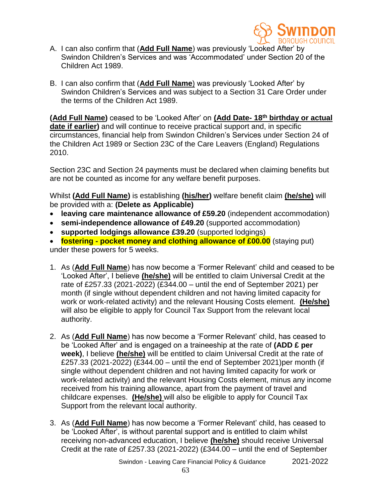

- A. I can also confirm that (**Add Full Name**) was previously 'Looked After' by Swindon Children's Services and was 'Accommodated' under Section 20 of the Children Act 1989.
- B. I can also confirm that (**Add Full Name**) was previously 'Looked After' by Swindon Children's Services and was subject to a Section 31 Care Order under the terms of the Children Act 1989.

**(Add Full Name)** ceased to be 'Looked After' on **(Add Date- 18th birthday or actual date if earlier)** and will continue to receive practical support and, in specific circumstances, financial help from Swindon Children's Services under Section 24 of the Children Act 1989 or Section 23C of the Care Leavers (England) Regulations 2010.

Section 23C and Section 24 payments must be declared when claiming benefits but are not be counted as income for any welfare benefit purposes.

Whilst **(Add Full Name)** is establishing **(his/her)** welfare benefit claim **(he/she)** will be provided with a: **(Delete as Applicable)**

- **leaving care maintenance allowance of £59.20** (independent accommodation)
- **semi-independence allowance of £49.20** (supported accommodation)
- **supported lodgings allowance £39.20** (supported lodgings)

 **fostering - pocket money and clothing allowance of £00.00** (staying put) under these powers for 5 weeks.

- 1. As (**Add Full Name**) has now become a 'Former Relevant' child and ceased to be 'Looked After', I believe **(he/she)** will be entitled to claim Universal Credit at the rate of £257.33 (2021-2022) (£344.00 – until the end of September 2021) per month (if single without dependent children and not having limited capacity for work or work-related activity) and the relevant Housing Costs element. **(He/she)** will also be eligible to apply for Council Tax Support from the relevant local authority.
- 2. As (**Add Full Name**) has now become a 'Former Relevant' child, has ceased to be 'Looked After' and is engaged on a traineeship at the rate of **(ADD £ per week)**, I believe **(he/she)** will be entitled to claim Universal Credit at the rate of £257.33 (2021-2022) (£344.00 – until the end of September 2021)per month (if single without dependent children and not having limited capacity for work or work-related activity) and the relevant Housing Costs element, minus any income received from his training allowance, apart from the payment of travel and childcare expenses. **(He/she)** will also be eligible to apply for Council Tax Support from the relevant local authority.
- 3. As (**Add Full Name**) has now become a 'Former Relevant' child, has ceased to be 'Looked After', is without parental support and is entitled to claim whilst receiving non-advanced education, I believe **(he/she)** should receive Universal Credit at the rate of £257.33 (2021-2022) (£344.00 – until the end of September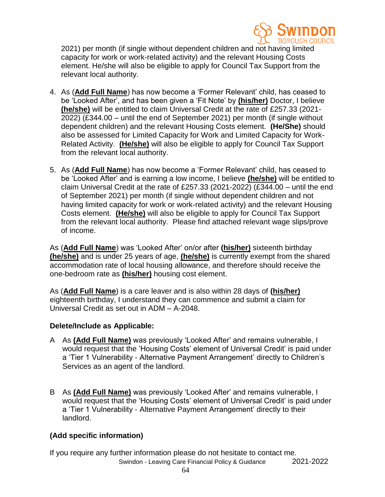

2021) per month (if single without dependent children and not having limited capacity for work or work-related activity) and the relevant Housing Costs element. He/she will also be eligible to apply for Council Tax Support from the relevant local authority.

- 4. As (**Add Full Name**) has now become a 'Former Relevant' child, has ceased to be 'Looked After', and has been given a 'Fit Note' by **(his/her)** Doctor, I believe **(he/she)** will be entitled to claim Universal Credit at the rate of £257.33 (2021- 2022) (£344.00 – until the end of September 2021) per month (if single without dependent children) and the relevant Housing Costs element. **(He/She)** should also be assessed for Limited Capacity for Work and Limited Capacity for Work-Related Activity. **(He/she)** will also be eligible to apply for Council Tax Support from the relevant local authority.
- 5. As (**Add Full Name**) has now become a 'Former Relevant' child, has ceased to be 'Looked After' and is earning a low income, I believe **(he/she)** will be entitled to claim Universal Credit at the rate of £257.33 (2021-2022) (£344.00 – until the end of September 2021) per month (if single without dependent children and not having limited capacity for work or work-related activity) and the relevant Housing Costs element. **(He/she)** will also be eligible to apply for Council Tax Support from the relevant local authority. Please find attached relevant wage slips/prove of income.

As (**Add Full Name**) was 'Looked After' on/or after **(his/her)** sixteenth birthday **(he/she)** and is under 25 years of age, **(he/she)** is currently exempt from the shared accommodation rate of local housing allowance, and therefore should receive the one-bedroom rate as **(his/her)** housing cost element.

As (**Add Full Name**) is a care leaver and is also within 28 days of **(his/her)** eighteenth birthday, I understand they can commence and submit a claim for Universal Credit as set out in ADM – A-2048.

### **Delete/Include as Applicable:**

- A As **(Add Full Name)** was previously 'Looked After' and remains vulnerable, I would request that the 'Housing Costs' element of Universal Credit' is paid under a 'Tier 1 Vulnerability - Alternative Payment Arrangement' directly to Children's Services as an agent of the landlord.
- B As **(Add Full Name)** was previously 'Looked After' and remains vulnerable, I would request that the 'Housing Costs' element of Universal Credit' is paid under a 'Tier 1 Vulnerability - Alternative Payment Arrangement' directly to their landlord.

#### **(Add specific information)**

Swindon - Leaving Care Financial Policy & Guidance 2021-2022 If you require any further information please do not hesitate to contact me.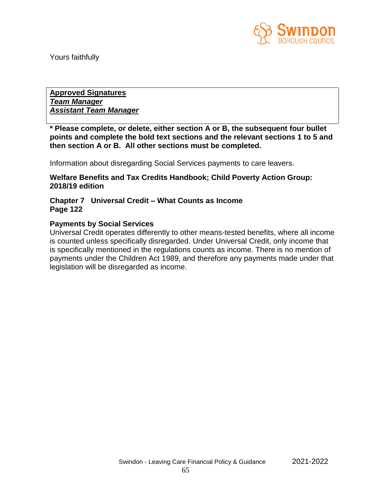

Yours faithfully

#### **Approved Signatures** *Team Manager Assistant Team Manager*

**\* Please complete, or delete, either section A or B, the subsequent four bullet points and complete the bold text sections and the relevant sections 1 to 5 and then section A or B. All other sections must be completed.**

Information about disregarding Social Services payments to care leavers.

**Welfare Benefits and Tax Credits Handbook; Child Poverty Action Group: 2018/19 edition**

**Chapter 7 Universal Credit – What Counts as Income Page 122**

#### **Payments by Social Services**

Universal Credit operates differently to other means-tested benefits, where all income is counted unless specifically disregarded. Under Universal Credit, only income that is specifically mentioned in the regulations counts as income. There is no mention of payments under the Children Act 1989, and therefore any payments made under that legislation will be disregarded as income.